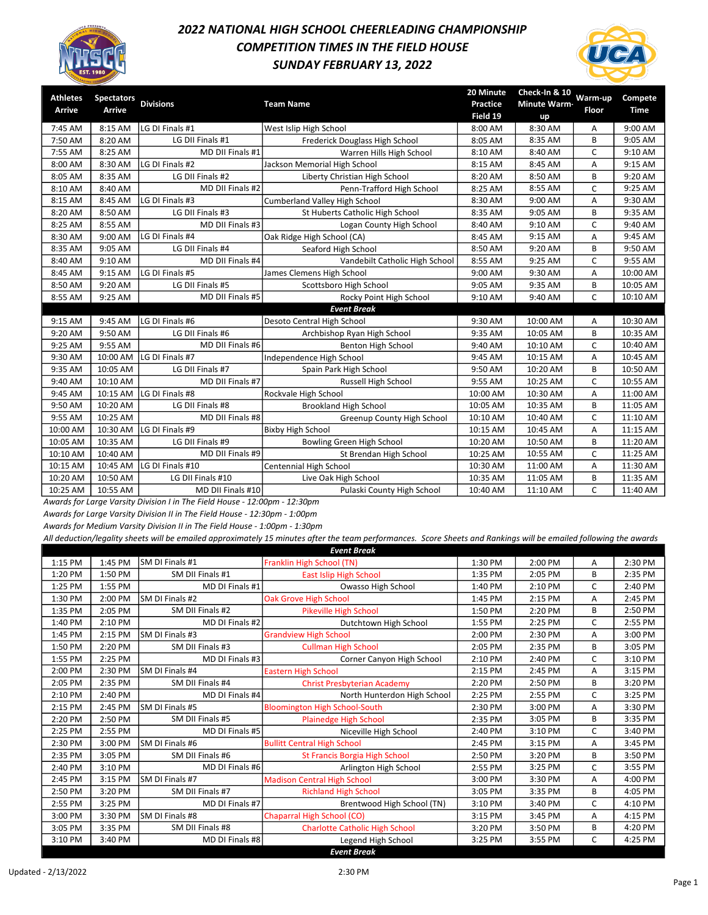

## 2022 NATIONAL HIGH SCHOOL CHEERLEADING CHAMPIONSHIP COMPETITION TIMES IN THE FIELD HOUSE SUNDAY FEBRUARY 13, 2022



| Athletes | <b>Spectators</b> |                   |                                      | 20 Minute       | Check-In & 10       | Warm-up      | Compete     |
|----------|-------------------|-------------------|--------------------------------------|-----------------|---------------------|--------------|-------------|
| Arrive   | <b>Arrive</b>     | <b>Divisions</b>  | <b>Team Name</b>                     | <b>Practice</b> | <b>Minute Warm-</b> | <b>Floor</b> | <b>Time</b> |
|          |                   |                   |                                      | Field 19        | up                  |              |             |
| 7:45 AM  | 8:15 AM           | LG DI Finals #1   | West Islip High School               | 8:00 AM         | 8:30 AM             | Α            | 9:00 AM     |
| 7:50 AM  | 8:20 AM           | LG DII Finals #1  | Frederick Douglass High School       | 8:05 AM         | 8:35 AM             | B            | 9:05 AM     |
| 7:55 AM  | 8:25 AM           | MD DII Finals #1  | Warren Hills High School             | 8:10 AM         | 8:40 AM             | C            | 9:10 AM     |
| 8:00 AM  | 8:30 AM           | LG DI Finals #2   | Jackson Memorial High School         | 8:15 AM         | 8:45 AM             | A            | 9:15 AM     |
| 8:05 AM  | 8:35 AM           | LG DII Finals #2  | Liberty Christian High School        | 8:20 AM         | 8:50 AM             | B            | 9:20 AM     |
| 8:10 AM  | 8:40 AM           | MD DII Finals #2  | Penn-Trafford High School            | 8:25 AM         | 8:55 AM             | C            | 9:25 AM     |
| 8:15 AM  | 8:45 AM           | LG DI Finals #3   | <b>Cumberland Valley High School</b> | 8:30 AM         | 9:00 AM             | A            | 9:30 AM     |
| 8:20 AM  | 8:50 AM           | LG DII Finals #3  | St Huberts Catholic High School      | 8:35 AM         | 9:05 AM             | B            | 9:35 AM     |
| 8:25 AM  | 8:55 AM           | MD DII Finals #3  | Logan County High School             | 8:40 AM         | 9:10 AM             | $\mathsf{C}$ | 9:40 AM     |
| 8:30 AM  | 9:00 AM           | LG DI Finals #4   | Oak Ridge High School (CA)           | 8:45 AM         | 9:15 AM             | Α            | 9:45 AM     |
| 8:35 AM  | 9:05 AM           | LG DII Finals #4  | Seaford High School                  | 8:50 AM         | 9:20 AM             | B            | 9:50 AM     |
| 8:40 AM  | 9:10 AM           | MD DII Finals #4  | Vandebilt Catholic High School       | 8:55 AM         | 9:25 AM             | C            | 9:55 AM     |
| 8:45 AM  | 9:15 AM           | LG DI Finals #5   | James Clemens High School            | 9:00 AM         | 9:30 AM             | A            | 10:00 AM    |
| 8:50 AM  | 9:20 AM           | LG DII Finals #5  | Scottsboro High School               | 9:05 AM         | 9:35 AM             | В            | 10:05 AM    |
| 8:55 AM  | 9:25 AM           | MD DII Finals #5  | Rocky Point High School              | 9:10 AM         | 9:40 AM             | $\mathsf{C}$ | 10:10 AM    |
|          |                   |                   | <b>Event Break</b>                   |                 |                     |              |             |
| 9:15 AM  | 9:45 AM           | LG DI Finals #6   | Desoto Central High School           | 9:30 AM         | 10:00 AM            | A            | 10:30 AM    |
| 9:20 AM  | 9:50 AM           | LG DII Finals #6  | Archbishop Ryan High School          | 9:35 AM         | 10:05 AM            | B            | 10:35 AM    |
| 9:25 AM  | 9:55 AM           | MD DII Finals #6  | <b>Benton High School</b>            | 9:40 AM         | 10:10 AM            | C            | 10:40 AM    |
| 9:30 AM  | 10:00 AM          | LG DI Finals #7   | Independence High School             | 9:45 AM         | 10:15 AM            | Α            | 10:45 AM    |
| 9:35 AM  | 10:05 AM          | LG DII Finals #7  | Spain Park High School               | 9:50 AM         | 10:20 AM            | B            | 10:50 AM    |
| 9:40 AM  | 10:10 AM          | MD DII Finals #7  | Russell High School                  | 9:55 AM         | 10:25 AM            | C            | 10:55 AM    |
| 9:45 AM  | 10:15 AM          | LG DI Finals #8   | Rockvale High School                 | 10:00 AM        | 10:30 AM            | A            | 11:00 AM    |
| 9:50 AM  | 10:20 AM          | LG DII Finals #8  | <b>Brookland High School</b>         | 10:05 AM        | 10:35 AM            | B            | 11:05 AM    |
| 9:55 AM  | 10:25 AM          | MD DII Finals #8  | Greenup County High School           | 10:10 AM        | 10:40 AM            | C            | 11:10 AM    |
| 10:00 AM | 10:30 AM          | LG DI Finals #9   | <b>Bixby High School</b>             | 10:15 AM        | 10:45 AM            | Α            | 11:15 AM    |
| 10:05 AM | 10:35 AM          | LG DII Finals #9  | Bowling Green High School            | 10:20 AM        | 10:50 AM            | B            | 11:20 AM    |
| 10:10 AM | 10:40 AM          | MD DII Finals #9  | St Brendan High School               | 10:25 AM        | 10:55 AM            | C            | 11:25 AM    |
| 10:15 AM | 10:45 AM          | LG DI Finals #10  | Centennial High School               | 10:30 AM        | 11:00 AM            | A            | 11:30 AM    |
| 10:20 AM | 10:50 AM          | LG DII Finals #10 | Live Oak High School                 | 10:35 AM        | 11:05 AM            | B            | 11:35 AM    |
| 10:25 AM | 10:55 AM          | MD DII Finals #10 | Pulaski County High School           | 10:40 AM        | 11:10 AM            | C            | 11:40 AM    |

Awards for Large Varsity Division I in The Field House - 12:00pm - 12:30pm

Awards for Large Varsity Division II in The Field House - 12:30pm - 1:00pm

Awards for Medium Varsity Division II in The Field House - 1:00pm - 1:30pm

|         |         |                        | <b>Event Break</b>                    |         |         |   |         |
|---------|---------|------------------------|---------------------------------------|---------|---------|---|---------|
| 1:15 PM | 1:45 PM | SM DI Finals #1        | Franklin High School (TN)             | 1:30 PM | 2:00 PM | A | 2:30 PM |
| 1:20 PM | 1:50 PM | SM DII Finals #1       | <b>East Islip High School</b>         | 1:35 PM | 2:05 PM | B | 2:35 PM |
| 1:25 PM | 1:55 PM | MD DI Finals #1        | Owasso High School                    | 1:40 PM | 2:10 PM | C | 2:40 PM |
| 1:30 PM | 2:00 PM | SM DI Finals #2        | Oak Grove High School                 | 1:45 PM | 2:15 PM | A | 2:45 PM |
| 1:35 PM | 2:05 PM | SM DII Finals #2       | Pikeville High School                 | 1:50 PM | 2:20 PM | B | 2:50 PM |
| 1:40 PM | 2:10 PM | MD DI Finals #2        | Dutchtown High School                 | 1:55 PM | 2:25 PM | C | 2:55 PM |
| 1:45 PM | 2:15 PM | SM DI Finals #3        | <b>Grandview High School</b>          | 2:00 PM | 2:30 PM | Α | 3:00 PM |
| 1:50 PM | 2:20 PM | SM DII Finals #3       | <b>Cullman High School</b>            | 2:05 PM | 2:35 PM | B | 3:05 PM |
| 1:55 PM | 2:25 PM | MD DI Finals #3        | Corner Canyon High School             | 2:10 PM | 2:40 PM | C | 3:10 PM |
| 2:00 PM | 2:30 PM | <b>SM DI Finals #4</b> | <b>Eastern High School</b>            | 2:15 PM | 2:45 PM | A | 3:15 PM |
| 2:05 PM | 2:35 PM | SM DII Finals #4       | <b>Christ Presbyterian Academy</b>    | 2:20 PM | 2:50 PM | B | 3:20 PM |
| 2:10 PM | 2:40 PM | MD DI Finals #4        | North Hunterdon High School           | 2:25 PM | 2:55 PM | C | 3:25 PM |
| 2:15 PM | 2:45 PM | SM DI Finals #5        | <b>Bloomington High School-South</b>  | 2:30 PM | 3:00 PM | A | 3:30 PM |
| 2:20 PM | 2:50 PM | SM DII Finals #5       | <b>Plainedge High School</b>          | 2:35 PM | 3:05 PM | B | 3:35 PM |
| 2:25 PM | 2:55 PM | MD DI Finals #5        | Niceville High School                 | 2:40 PM | 3:10 PM | C | 3:40 PM |
| 2:30 PM | 3:00 PM | SM DI Finals #6        | <b>Bullitt Central High School</b>    | 2:45 PM | 3:15 PM | A | 3:45 PM |
| 2:35 PM | 3:05 PM | SM DII Finals #6       | <b>St Francis Borgia High School</b>  | 2:50 PM | 3:20 PM | B | 3:50 PM |
| 2:40 PM | 3:10 PM | MD DI Finals #6        | Arlington High School                 | 2:55 PM | 3:25 PM | C | 3:55 PM |
| 2:45 PM | 3:15 PM | SM DI Finals #7        | <b>Madison Central High School</b>    | 3:00 PM | 3:30 PM | Α | 4:00 PM |
| 2:50 PM | 3:20 PM | SM DII Finals #7       | <b>Richland High School</b>           | 3:05 PM | 3:35 PM | B | 4:05 PM |
| 2:55 PM | 3:25 PM | MD DI Finals #7        | Brentwood High School (TN)            | 3:10 PM | 3:40 PM | C | 4:10 PM |
| 3:00 PM | 3:30 PM | SM DI Finals #8        | Chaparral High School (CO)            | 3:15 PM | 3:45 PM | A | 4:15 PM |
| 3:05 PM | 3:35 PM | SM DII Finals #8       | <b>Charlotte Catholic High School</b> | 3:20 PM | 3:50 PM | B | 4:20 PM |
| 3:10 PM | 3:40 PM | MD DI Finals #8        | Legend High School                    | 3:25 PM | 3:55 PM | C | 4:25 PM |
|         |         |                        | <b>Event Break</b>                    |         |         |   |         |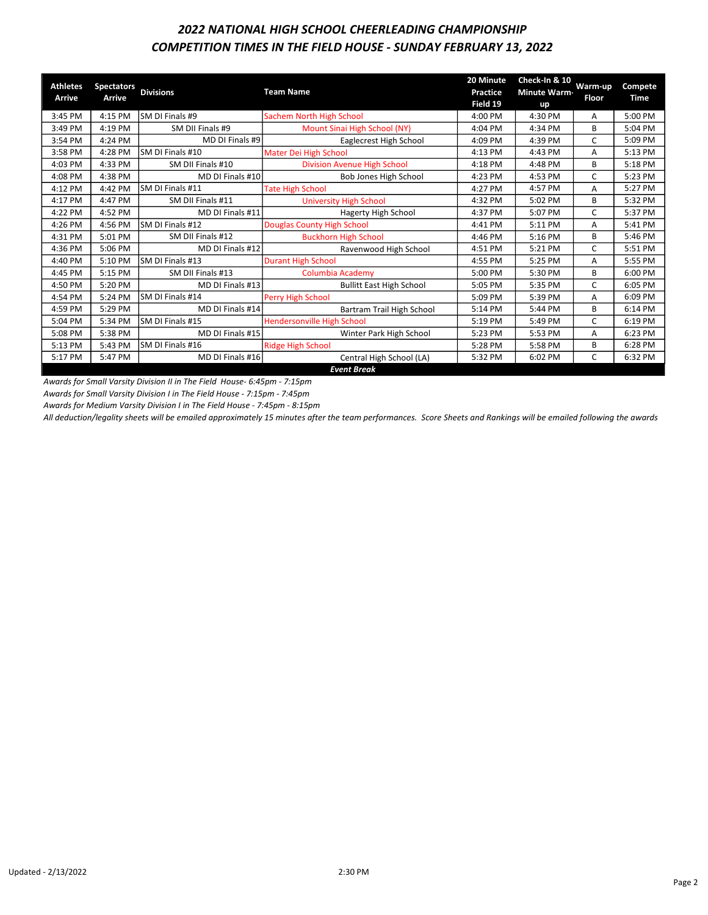# COMPETITION TIMES IN THE FIELD HOUSE - SUNDAY FEBRUARY 13, 2022 2022 NATIONAL HIGH SCHOOL CHEERLEADING CHAMPIONSHIP

| <b>Athletes</b> | <b>Spectators</b> | <b>Divisions</b>  | <b>Team Name</b>                   | 20 Minute<br><b>Practice</b> | Check-In & 10<br><b>Minute Warm-</b> | Warm-up      | Compete     |
|-----------------|-------------------|-------------------|------------------------------------|------------------------------|--------------------------------------|--------------|-------------|
| <b>Arrive</b>   | <b>Arrive</b>     |                   |                                    | Field 19                     | up                                   | <b>Floor</b> | <b>Time</b> |
| 3:45 PM         | 4:15 PM           | SM DI Finals #9   | Sachem North High School           | 4:00 PM                      | 4:30 PM                              | A            | 5:00 PM     |
| 3:49 PM         | 4:19 PM           | SM DII Finals #9  | Mount Sinai High School (NY)       | 4:04 PM                      | 4:34 PM                              | B            | 5:04 PM     |
| 3:54 PM         | 4:24 PM           | MD DI Finals #9   | Eaglecrest High School             | 4:09 PM                      | 4:39 PM                              | C            | 5:09 PM     |
| 3:58 PM         | 4:28 PM           | SM DI Finals #10  | Mater Dei High School              | 4:13 PM                      | 4:43 PM                              | A            | 5:13 PM     |
| 4:03 PM         | 4:33 PM           | SM DII Finals #10 | <b>Division Avenue High School</b> | 4:18 PM                      | 4:48 PM                              | B            | 5:18 PM     |
| 4:08 PM         | 4:38 PM           | MD DI Finals #10  | Bob Jones High School              | 4:23 PM                      | 4:53 PM                              | C            | 5:23 PM     |
| 4:12 PM         | 4:42 PM           | SM DI Finals #11  | <b>Tate High School</b>            | 4:27 PM                      | 4:57 PM                              | A            | 5:27 PM     |
| 4:17 PM         | 4:47 PM           | SM DII Finals #11 | <b>University High School</b>      | 4:32 PM                      | 5:02 PM                              | B            | 5:32 PM     |
| 4:22 PM         | 4:52 PM           | MD DI Finals #11  | <b>Hagerty High School</b>         | 4:37 PM                      | 5:07 PM                              | C            | 5:37 PM     |
| 4:26 PM         | 4:56 PM           | SM DI Finals #12  | <b>Douglas County High School</b>  | 4:41 PM                      | 5:11 PM                              | A            | 5:41 PM     |
| 4:31 PM         | 5:01 PM           | SM DII Finals #12 | <b>Buckhorn High School</b>        | 4:46 PM                      | 5:16 PM                              | B            | 5:46 PM     |
| 4:36 PM         | 5:06 PM           | MD DI Finals #12  | Ravenwood High School              | 4:51 PM                      | 5:21 PM                              | C            | 5:51 PM     |
| 4:40 PM         | 5:10 PM           | SM DI Finals #13  | <b>Durant High School</b>          | 4:55 PM                      | 5:25 PM                              | A            | 5:55 PM     |
| 4:45 PM         | 5:15 PM           | SM DII Finals #13 | <b>Columbia Academy</b>            | 5:00 PM                      | 5:30 PM                              | B            | 6:00 PM     |
| 4:50 PM         | 5:20 PM           | MD DI Finals #13  | <b>Bullitt East High School</b>    | 5:05 PM                      | 5:35 PM                              | C            | 6:05 PM     |
| 4:54 PM         | 5:24 PM           | SM DI Finals #14  | Perry High School                  | 5:09 PM                      | 5:39 PM                              | A            | 6:09 PM     |
| 4:59 PM         | 5:29 PM           | MD DI Finals #14  | Bartram Trail High School          | 5:14 PM                      | 5:44 PM                              | В            | 6:14 PM     |
| 5:04 PM         | 5:34 PM           | SM DI Finals #15  | <b>Hendersonville High School</b>  | 5:19 PM                      | 5:49 PM                              | C            | 6:19 PM     |
| 5:08 PM         | 5:38 PM           | MD DI Finals #15  | Winter Park High School            | 5:23 PM                      | 5:53 PM                              | A            | 6:23 PM     |
| 5:13 PM         | 5:43 PM           | SM DI Finals #16  | <b>Ridge High School</b>           | 5:28 PM                      | 5:58 PM                              | B            | 6:28 PM     |
| 5:17 PM         | 5:47 PM           | MD DI Finals #16  | Central High School (LA)           | 5:32 PM                      | 6:02 PM                              | C            | 6:32 PM     |
|                 |                   |                   | <b>Event Break</b>                 |                              |                                      |              |             |

Awards for Small Varsity Division II in The Field House- 6:45pm - 7:15pm

Awards for Small Varsity Division I in The Field House - 7:15pm - 7:45pm

Awards for Medium Varsity Division I in The Field House - 7:45pm - 8:15pm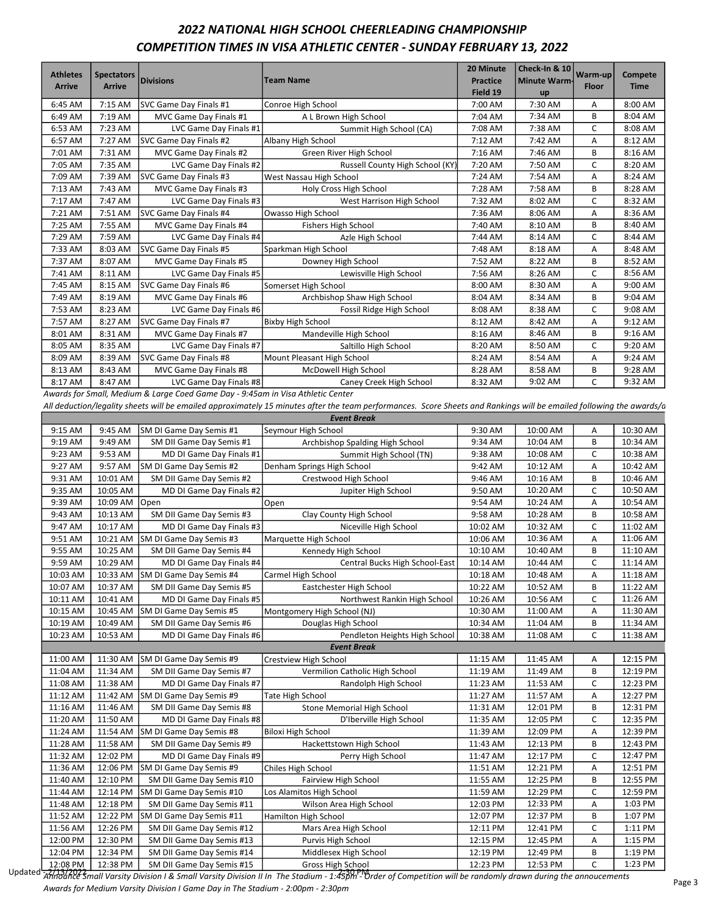# 2022 NATIONAL HIGH SCHOOL CHEERLEADING CHAMPIONSHIP COMPETITION TIMES IN VISA ATHLETIC CENTER - SUNDAY FEBRUARY 13, 2022

| <b>Athletes</b><br><b>Arrive</b> | <b>Spectators</b><br><b>Arrive</b> | <b>Divisions</b>       | <b>Team Name</b>                | 20 Minute<br><b>Practice</b><br>Field 19 | Check-In & 10<br><b>Minute Warm-</b><br>up | Warm-up<br><b>Floor</b> | Compete<br><b>Time</b> |
|----------------------------------|------------------------------------|------------------------|---------------------------------|------------------------------------------|--------------------------------------------|-------------------------|------------------------|
| 6:45 AM                          | 7:15 AM                            | SVC Game Day Finals #1 | Conroe High School              | 7:00 AM                                  | 7:30 AM                                    | A                       | 8:00 AM                |
| 6:49 AM                          | 7:19 AM                            | MVC Game Day Finals #1 | A L Brown High School           | 7:04 AM                                  | 7:34 AM                                    | B                       | 8:04 AM                |
| 6:53 AM                          | 7:23 AM                            | LVC Game Day Finals #1 | Summit High School (CA)         | 7:08 AM                                  | 7:38 AM                                    | $\mathsf{C}$            | 8:08 AM                |
| 6:57 AM                          | 7:27 AM                            | SVC Game Day Finals #2 | Albany High School              | 7:12 AM                                  | 7:42 AM                                    | A                       | 8:12 AM                |
| 7:01 AM                          | 7:31 AM                            | MVC Game Day Finals #2 | Green River High School         | 7:16 AM                                  | 7:46 AM                                    | B                       | 8:16 AM                |
| 7:05 AM                          | 7:35 AM                            | LVC Game Day Finals #2 | Russell County High School (KY) | 7:20 AM                                  | 7:50 AM                                    | C                       | 8:20 AM                |
| 7:09 AM                          | 7:39 AM                            | SVC Game Day Finals #3 | West Nassau High School         | 7:24 AM                                  | 7:54 AM                                    | A                       | 8:24 AM                |
| 7:13 AM                          | 7:43 AM                            | MVC Game Day Finals #3 | Holy Cross High School          | 7:28 AM                                  | 7:58 AM                                    | B                       | 8:28 AM                |
| 7:17 AM                          | 7:47 AM                            | LVC Game Day Finals #3 | West Harrison High School       | 7:32 AM                                  | 8:02 AM                                    | C                       | 8:32 AM                |
| 7:21 AM                          | 7:51 AM                            | SVC Game Day Finals #4 | Owasso High School              | 7:36 AM                                  | 8:06 AM                                    | A                       | 8:36 AM                |
| 7:25 AM                          | 7:55 AM                            | MVC Game Day Finals #4 | <b>Fishers High School</b>      | 7:40 AM                                  | 8:10 AM                                    | B                       | 8:40 AM                |
| 7:29 AM                          | 7:59 AM                            | LVC Game Day Finals #4 | Azle High School                | 7:44 AM                                  | 8:14 AM                                    | C                       | 8:44 AM                |
| 7:33 AM                          | 8:03 AM                            | SVC Game Day Finals #5 | Sparkman High School            | 7:48 AM                                  | 8:18 AM                                    | Α                       | 8:48 AM                |
| 7:37 AM                          | 8:07 AM                            | MVC Game Day Finals #5 | Downey High School              | 7:52 AM                                  | 8:22 AM                                    | B                       | 8:52 AM                |
| 7:41 AM                          | 8:11 AM                            | LVC Game Day Finals #5 | Lewisville High School          | 7:56 AM                                  | 8:26 AM                                    | C                       | 8:56 AM                |
| 7:45 AM                          | 8:15 AM                            | SVC Game Day Finals #6 | Somerset High School            | 8:00 AM                                  | 8:30 AM                                    | A                       | $9:00$ AM              |
| 7:49 AM                          | 8:19 AM                            | MVC Game Day Finals #6 | Archbishop Shaw High School     | 8:04 AM                                  | 8:34 AM                                    | B                       | 9:04 AM                |
| 7:53 AM                          | 8:23 AM                            | LVC Game Day Finals #6 | Fossil Ridge High School        | 8:08 AM                                  | 8:38 AM                                    | C                       | 9:08 AM                |
| 7:57 AM                          | 8:27 AM                            | SVC Game Day Finals #7 | <b>Bixby High School</b>        | 8:12 AM                                  | 8:42 AM                                    | A                       | 9:12 AM                |
| 8:01 AM                          | 8:31 AM                            | MVC Game Day Finals #7 | Mandeville High School          | 8:16 AM                                  | 8:46 AM                                    | B                       | 9:16 AM                |
| 8:05 AM                          | 8:35 AM                            | LVC Game Day Finals #7 | Saltillo High School            | 8:20 AM                                  | 8:50 AM                                    | C                       | 9:20 AM                |
| 8:09 AM                          | 8:39 AM                            | SVC Game Day Finals #8 | Mount Pleasant High School      | 8:24 AM                                  | 8:54 AM                                    | A                       | 9:24 AM                |
| 8:13 AM                          | 8:43 AM                            | MVC Game Day Finals #8 | McDowell High School            | 8:28 AM                                  | 8:58 AM                                    | B                       | 9:28 AM                |
| 8:17 AM                          | 8:47 AM                            | LVC Game Day Finals #8 | Caney Creek High School         | 8:32 AM                                  | 9:02 AM                                    | C                       | 9:32 AM                |

Awards for Small, Medium & Large Coed Game Day - 9:45am in Visa Athletic Center

All deduction/legality sheets will be emailed approximately 15 minutes after the team performances. Score Sheets and Rankings will be emailed following the awards/a

|          | <b>Event Break</b> |                                  |                                 |          |          |   |          |  |  |  |
|----------|--------------------|----------------------------------|---------------------------------|----------|----------|---|----------|--|--|--|
| 9:15 AM  | 9:45 AM            | SM DI Game Day Semis #1          | Seymour High School             | 9:30 AM  | 10:00 AM | А | 10:30 AM |  |  |  |
| 9:19 AM  | 9:49 AM            | SM DII Game Day Semis #1         | Archbishop Spalding High School | 9:34 AM  | 10:04 AM | B | 10:34 AM |  |  |  |
| 9:23 AM  | 9:53 AM            | MD DI Game Day Finals #1         | Summit High School (TN)         | 9:38 AM  | 10:08 AM | C | 10:38 AM |  |  |  |
| 9:27 AM  | 9:57 AM            | SM DI Game Day Semis #2          | Denham Springs High School      | 9:42 AM  | 10:12 AM | Α | 10:42 AM |  |  |  |
| 9:31 AM  | 10:01 AM           | SM DII Game Day Semis #2         | Crestwood High School           | 9:46 AM  | 10:16 AM | B | 10:46 AM |  |  |  |
| 9:35 AM  | 10:05 AM           | MD DI Game Day Finals #2         | Jupiter High School             | 9:50 AM  | 10:20 AM | C | 10:50 AM |  |  |  |
| 9:39 AM  | 10:09 AM           | Open                             | Open                            | 9:54 AM  | 10:24 AM | Α | 10:54 AM |  |  |  |
| 9:43 AM  | 10:13 AM           | SM DII Game Day Semis #3         | Clay County High School         | 9:58 AM  | 10:28 AM | B | 10:58 AM |  |  |  |
| 9:47 AM  | 10:17 AM           | MD DI Game Day Finals #3         | Niceville High School           | 10:02 AM | 10:32 AM | C | 11:02 AM |  |  |  |
| 9:51 AM  | 10:21 AM           | SM DI Game Day Semis #3          | Marquette High School           | 10:06 AM | 10:36 AM | Α | 11:06 AM |  |  |  |
| 9:55 AM  | 10:25 AM           | SM DII Game Day Semis #4         | Kennedy High School             | 10:10 AM | 10:40 AM | В | 11:10 AM |  |  |  |
| 9:59 AM  | 10:29 AM           | MD DI Game Day Finals #4         | Central Bucks High School-East  | 10:14 AM | 10:44 AM | C | 11:14 AM |  |  |  |
| 10:03 AM | 10:33 AM           | SM DI Game Day Semis #4          | Carmel High School              | 10:18 AM | 10:48 AM | А | 11:18 AM |  |  |  |
| 10:07 AM | 10:37 AM           | SM DII Game Day Semis #5         | Eastchester High School         | 10:22 AM | 10:52 AM | B | 11:22 AM |  |  |  |
| 10:11 AM | 10:41 AM           | MD DI Game Day Finals #5         | Northwest Rankin High School    | 10:26 AM | 10:56 AM | C | 11:26 AM |  |  |  |
| 10:15 AM | 10:45 AM           | SM DI Game Day Semis #5          | Montgomery High School (NJ)     | 10:30 AM | 11:00 AM | А | 11:30 AM |  |  |  |
| 10:19 AM | 10:49 AM           | SM DII Game Day Semis #6         | Douglas High School             | 10:34 AM | 11:04 AM | B | 11:34 AM |  |  |  |
| 10:23 AM | 10:53 AM           | MD DI Game Day Finals #6         | Pendleton Heights High School   | 10:38 AM | 11:08 AM | C | 11:38 AM |  |  |  |
|          |                    |                                  | <b>Event Break</b>              |          |          |   |          |  |  |  |
| 11:00 AM | 11:30 AM           | SM DI Game Day Semis #9          | <b>Crestview High School</b>    | 11:15 AM | 11:45 AM | Α | 12:15 PM |  |  |  |
| 11:04 AM | 11:34 AM           | SM DII Game Day Semis #7         | Vermilion Catholic High School  | 11:19 AM | 11:49 AM | B | 12:19 PM |  |  |  |
| 11:08 AM | 11:38 AM           | MD DI Game Day Finals #7         | Randolph High School            | 11:23 AM | 11:53 AM | C | 12:23 PM |  |  |  |
| 11:12 AM |                    | 11:42 AM SM DI Game Day Semis #9 | <b>Tate High School</b>         | 11:27 AM | 11:57 AM | Α | 12:27 PM |  |  |  |
| 11:16 AM | 11:46 AM           | SM DII Game Day Semis #8         | Stone Memorial High School      | 11:31 AM | 12:01 PM | В | 12:31 PM |  |  |  |
| 11:20 AM | 11:50 AM           | MD DI Game Day Finals #8         | D'Iberville High School         | 11:35 AM | 12:05 PM | C | 12:35 PM |  |  |  |
| 11:24 AM |                    | 11:54 AM SM DI Game Day Semis #8 | <b>Biloxi High School</b>       | 11:39 AM | 12:09 PM | А | 12:39 PM |  |  |  |
| 11:28 AM | 11:58 AM           | SM DII Game Day Semis #9         | Hackettstown High School        | 11:43 AM | 12:13 PM | В | 12:43 PM |  |  |  |
| 11:32 AM | 12:02 PM           | MD DI Game Day Finals #9         | Perry High School               | 11:47 AM | 12:17 PM | C | 12:47 PM |  |  |  |
| 11:36 AM | 12:06 PM           | SM DI Game Day Semis #9          | Chiles High School              | 11:51 AM | 12:21 PM | А | 12:51 PM |  |  |  |
| 11:40 AM | 12:10 PM           | SM DII Game Day Semis #10        | Fairview High School            | 11:55 AM | 12:25 PM | В | 12:55 PM |  |  |  |
| 11:44 AM | 12:14 PM           | SM DI Game Day Semis #10         | Los Alamitos High School        | 11:59 AM | 12:29 PM | C | 12:59 PM |  |  |  |
| 11:48 AM | 12:18 PM           | SM DII Game Day Semis #11        | Wilson Area High School         | 12:03 PM | 12:33 PM | А | 1:03 PM  |  |  |  |
| 11:52 AM | 12:22 PM           | SM DI Game Day Semis #11         | Hamilton High School            | 12:07 PM | 12:37 PM | B | 1:07 PM  |  |  |  |
| 11:56 AM | 12:26 PM           | SM DII Game Day Semis #12        | Mars Area High School           | 12:11 PM | 12:41 PM | C | 1:11 PM  |  |  |  |
| 12:00 PM | 12:30 PM           | SM DII Game Day Semis #13        | Purvis High School              | 12:15 PM | 12:45 PM | А | 1:15 PM  |  |  |  |
| 12:04 PM | 12:34 PM           | SM DII Game Day Semis #14        | Middlesex High School           | 12:19 PM | 12:49 PM | B | 1:19 PM  |  |  |  |
| 12:08 PM | 12:38 PM           | SM DII Game Day Semis #15        | Gross High School               | 12:23 PM | 12:53 PM | C | 1:23 PM  |  |  |  |

Updated 22:30 PM | 12:30 PM | 13:30 PM | 10 DM Division II B | 12:20 PM | 12:20 PM | 12:20 PM | 12:30 PM | 12:30 PM | 12:30 PM | 12:30 PM | 12:30 PM | 12:30 PM | 12:30 PM | 12:30 PM | 12:30 PM | 12:30 PM | 12:30 PM | 12:30 Awards for Medium Varsity Division I Game Day in The Stadium - 2:00pm - 2:30pm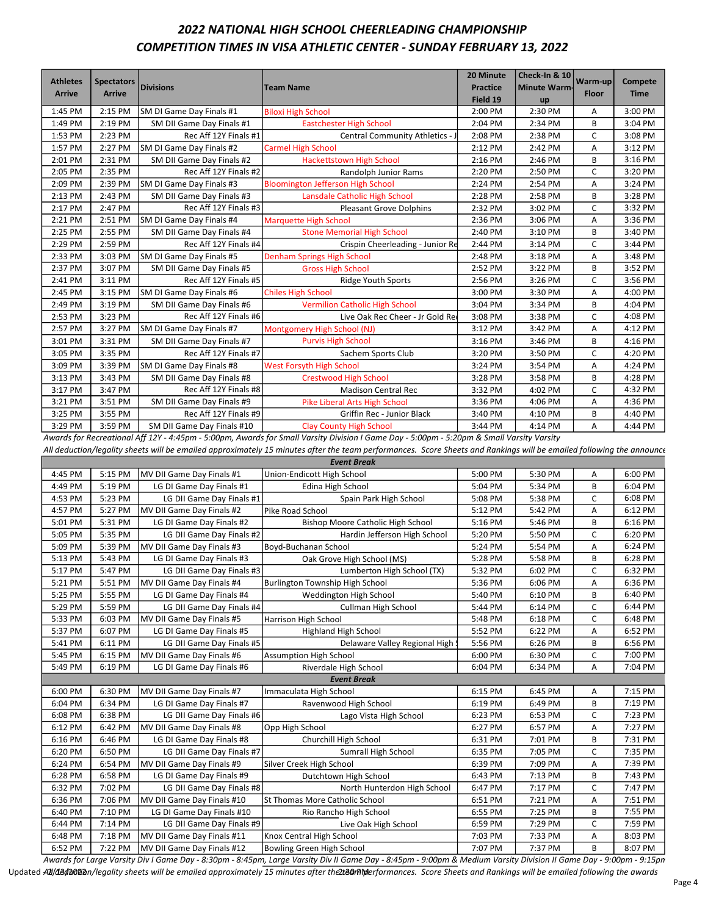# 2022 NATIONAL HIGH SCHOOL CHEERLEADING CHAMPIONSHIP COMPETITION TIMES IN VISA ATHLETIC CENTER - SUNDAY FEBRUARY 13, 2022

| <b>Athletes</b><br><b>Arrive</b> | <b>Spectators</b><br><b>Arrive</b> | <b>Divisions</b>           | <b>Team Name</b>                         | 20 Minute<br><b>Practice</b><br>Field 19 | Check-In & 10<br><b>Minute Warm-</b><br>up | Warm-up<br><b>Floor</b> | <b>Compete</b><br><b>Time</b> |
|----------------------------------|------------------------------------|----------------------------|------------------------------------------|------------------------------------------|--------------------------------------------|-------------------------|-------------------------------|
| 1:45 PM                          | 2:15 PM                            | SM DI Game Day Finals #1   | <b>Biloxi High School</b>                | 2:00 PM                                  | 2:30 PM                                    | Α                       | 3:00 PM                       |
| 1:49 PM                          | 2:19 PM                            | SM DII Game Day Finals #1  | <b>Eastchester High School</b>           | 2:04 PM                                  | 2:34 PM                                    | B                       | 3:04 PM                       |
| 1:53 PM                          | 2:23 PM                            | Rec Aff 12Y Finals #1      | Central Community Athletics - J          | 2:08 PM                                  | 2:38 PM                                    | $\mathsf{C}$            | 3:08 PM                       |
| 1:57 PM                          | 2:27 PM                            | SM DI Game Day Finals #2   | <b>Carmel High School</b>                | 2:12 PM                                  | 2:42 PM                                    | Α                       | 3:12 PM                       |
| 2:01 PM                          | 2:31 PM                            | SM DII Game Day Finals #2  | <b>Hackettstown High School</b>          | 2:16 PM                                  | 2:46 PM                                    | B                       | 3:16 PM                       |
| 2:05 PM                          | 2:35 PM                            | Rec Aff 12Y Finals #2      | Randolph Junior Rams                     | 2:20 PM                                  | 2:50 PM                                    | C                       | 3:20 PM                       |
| 2:09 PM                          | 2:39 PM                            | SM DI Game Day Finals #3   | <b>Bloomington Jefferson High School</b> | 2:24 PM                                  | 2:54 PM                                    | A                       | 3:24 PM                       |
| 2:13 PM                          | 2:43 PM                            | SM DII Game Day Finals #3  | Lansdale Catholic High School            | 2:28 PM                                  | 2:58 PM                                    | В                       | 3:28 PM                       |
| 2:17 PM                          | 2:47 PM                            | Rec Aff 12Y Finals #3      | <b>Pleasant Grove Dolphins</b>           | 2:32 PM                                  | 3:02 PM                                    | $\mathsf{C}$            | 3:32 PM                       |
| 2:21 PM                          | 2:51 PM                            | SM DI Game Day Finals #4   | <b>Marquette High School</b>             | 2:36 PM                                  | 3:06 PM                                    | Α                       | 3:36 PM                       |
| 2:25 PM                          | 2:55 PM                            | SM DII Game Day Finals #4  | <b>Stone Memorial High School</b>        | 2:40 PM                                  | 3:10 PM                                    | B                       | 3:40 PM                       |
| 2:29 PM                          | 2:59 PM                            | Rec Aff 12Y Finals #4      | Crispin Cheerleading - Junior Re         | 2:44 PM                                  | 3:14 PM                                    | C                       | 3:44 PM                       |
| 2:33 PM                          | 3:03 PM                            | SM DI Game Day Finals #5   | <b>Denham Springs High School</b>        | 2:48 PM                                  | 3:18 PM                                    | A                       | 3:48 PM                       |
| 2:37 PM                          | 3:07 PM                            | SM DII Game Day Finals #5  | <b>Gross High School</b>                 | 2:52 PM                                  | 3:22 PM                                    | B                       | 3:52 PM                       |
| 2:41 PM                          | 3:11 PM                            | Rec Aff 12Y Finals #5      | <b>Ridge Youth Sports</b>                | 2:56 PM                                  | 3:26 PM                                    | $\mathsf{C}$            | 3:56 PM                       |
| 2:45 PM                          | 3:15 PM                            | SM DI Game Day Finals #6   | <b>Chiles High School</b>                | 3:00 PM                                  | 3:30 PM                                    | Α                       | 4:00 PM                       |
| 2:49 PM                          | 3:19 PM                            | SM DII Game Day Finals #6  | <b>Vermilion Catholic High School</b>    | 3:04 PM                                  | 3:34 PM                                    | B                       | 4:04 PM                       |
| 2:53 PM                          | 3:23 PM                            | Rec Aff 12Y Finals #6      | Live Oak Rec Cheer - Jr Gold Re          | 3:08 PM                                  | 3:38 PM                                    | C                       | 4:08 PM                       |
| 2:57 PM                          | 3:27 PM                            | SM DI Game Day Finals #7   | Montgomery High School (NJ)              | 3:12 PM                                  | 3:42 PM                                    | А                       | 4:12 PM                       |
| 3:01 PM                          | 3:31 PM                            | SM DII Game Day Finals #7  | <b>Purvis High School</b>                | 3:16 PM                                  | 3:46 PM                                    | B                       | 4:16 PM                       |
| 3:05 PM                          | 3:35 PM                            | Rec Aff 12Y Finals #7      | Sachem Sports Club                       | 3:20 PM                                  | 3:50 PM                                    | $\mathsf{C}$            | 4:20 PM                       |
| 3:09 PM                          | 3:39 PM                            | SM DI Game Day Finals #8   | <b>West Forsyth High School</b>          | 3:24 PM                                  | 3:54 PM                                    | Α                       | 4:24 PM                       |
| 3:13 PM                          | 3:43 PM                            | SM DII Game Day Finals #8  | <b>Crestwood High School</b>             | 3:28 PM                                  | 3:58 PM                                    | B                       | 4:28 PM                       |
| 3:17 PM                          | 3:47 PM                            | Rec Aff 12Y Finals #8      | <b>Madison Central Rec</b>               | 3:32 PM                                  | 4:02 PM                                    | C                       | 4:32 PM                       |
| 3:21 PM                          | 3:51 PM                            | SM DII Game Day Finals #9  | Pike Liberal Arts High School            | 3:36 PM                                  | 4:06 PM                                    | Α                       | 4:36 PM                       |
| 3:25 PM                          | 3:55 PM                            | Rec Aff 12Y Finals #9      | Griffin Rec - Junior Black               | 3:40 PM                                  | 4:10 PM                                    | B                       | 4:40 PM                       |
| 3:29 PM                          | 3:59 PM                            | SM DII Game Day Finals #10 | <b>Clay County High School</b>           | 3:44 PM                                  | 4:14 PM                                    | А                       | 4:44 PM                       |

Awards for Recreational Aff 12Y - 4:45pm - 5:00pm, Awards for Small Varsity Division I Game Day - 5:00pm - 5:20pm & Small Varsity Varsity

All deduction/legality sheets will be emailed approximately 15 minutes after the team performances. Score Sheets and Rankings will be emailed following the announce

|         | <b>Event Break</b> |                            |                                          |         |         |   |         |  |  |  |  |
|---------|--------------------|----------------------------|------------------------------------------|---------|---------|---|---------|--|--|--|--|
| 4:45 PM | 5:15 PM            | MV DII Game Day Finals #1  | Union-Endicott High School               | 5:00 PM | 5:30 PM | A | 6:00 PM |  |  |  |  |
| 4:49 PM | 5:19 PM            | LG DI Game Day Finals #1   | Edina High School                        | 5:04 PM | 5:34 PM | B | 6:04 PM |  |  |  |  |
| 4:53 PM | 5:23 PM            | LG DII Game Day Finals #1  | Spain Park High School                   | 5:08 PM | 5:38 PM | C | 6:08 PM |  |  |  |  |
| 4:57 PM | 5:27 PM            | MV DII Game Day Finals #2  | Pike Road School                         | 5:12 PM | 5:42 PM | A | 6:12 PM |  |  |  |  |
| 5:01 PM | 5:31 PM            | LG DI Game Day Finals #2   | <b>Bishop Moore Catholic High School</b> | 5:16 PM | 5:46 PM | B | 6:16 PM |  |  |  |  |
| 5:05 PM | 5:35 PM            | LG DII Game Day Finals #2  | Hardin Jefferson High School             | 5:20 PM | 5:50 PM | C | 6:20 PM |  |  |  |  |
| 5:09 PM | 5:39 PM            | MV DII Game Day Finals #3  | Boyd-Buchanan School                     | 5:24 PM | 5:54 PM | А | 6:24 PM |  |  |  |  |
| 5:13 PM | 5:43 PM            | LG DI Game Day Finals #3   | Oak Grove High School (MS)               | 5:28 PM | 5:58 PM | B | 6:28 PM |  |  |  |  |
| 5:17 PM | 5:47 PM            | LG DII Game Day Finals #3  | Lumberton High School (TX)               | 5:32 PM | 6:02 PM | C | 6:32 PM |  |  |  |  |
| 5:21 PM | 5:51 PM            | MV DII Game Day Finals #4  | Burlington Township High School          | 5:36 PM | 6:06 PM | Α | 6:36 PM |  |  |  |  |
| 5:25 PM | 5:55 PM            | LG DI Game Day Finals #4   | Weddington High School                   | 5:40 PM | 6:10 PM | B | 6:40 PM |  |  |  |  |
| 5:29 PM | 5:59 PM            | LG DII Game Day Finals #4  | Cullman High School                      | 5:44 PM | 6:14 PM | C | 6:44 PM |  |  |  |  |
| 5:33 PM | 6:03 PM            | MV DII Game Day Finals #5  | <b>Harrison High School</b>              | 5:48 PM | 6:18 PM | C | 6:48 PM |  |  |  |  |
| 5:37 PM | 6:07 PM            | LG DI Game Day Finals #5   | <b>Highland High School</b>              | 5:52 PM | 6:22 PM | А | 6:52 PM |  |  |  |  |
| 5:41 PM | 6:11 PM            | LG DII Game Day Finals #5  | Delaware Valley Regional High !          | 5:56 PM | 6:26 PM | B | 6:56 PM |  |  |  |  |
| 5:45 PM | 6:15 PM            | MV DII Game Day Finals #6  | <b>Assumption High School</b>            | 6:00 PM | 6:30 PM | C | 7:00 PM |  |  |  |  |
| 5:49 PM | 6:19 PM            | LG DI Game Day Finals #6   | Riverdale High School                    | 6:04 PM | 6:34 PM | A | 7:04 PM |  |  |  |  |
|         |                    |                            | <b>Event Break</b>                       |         |         |   |         |  |  |  |  |
| 6:00 PM | 6:30 PM            | MV DII Game Day Finals #7  | Immaculata High School                   | 6:15 PM | 6:45 PM | Α | 7:15 PM |  |  |  |  |
| 6:04 PM | 6:34 PM            | LG DI Game Day Finals #7   | Ravenwood High School                    | 6:19 PM | 6:49 PM | B | 7:19 PM |  |  |  |  |
| 6:08 PM | 6:38 PM            | LG DII Game Day Finals #6  | Lago Vista High School                   | 6:23 PM | 6:53 PM | C | 7:23 PM |  |  |  |  |
| 6:12 PM | 6:42 PM            | MV DII Game Day Finals #8  | Opp High School                          | 6:27 PM | 6:57 PM | А | 7:27 PM |  |  |  |  |
| 6:16 PM | 6:46 PM            | LG DI Game Day Finals #8   | Churchill High School                    | 6:31 PM | 7:01 PM | B | 7:31 PM |  |  |  |  |
| 6:20 PM | 6:50 PM            | LG DII Game Day Finals #7  | Sumrall High School                      | 6:35 PM | 7:05 PM | C | 7:35 PM |  |  |  |  |
| 6:24 PM | 6:54 PM            | MV DII Game Day Finals #9  | Silver Creek High School                 | 6:39 PM | 7:09 PM | Α | 7:39 PM |  |  |  |  |
| 6:28 PM | 6:58 PM            | LG DI Game Day Finals #9   | Dutchtown High School                    | 6:43 PM | 7:13 PM | B | 7:43 PM |  |  |  |  |
| 6:32 PM | 7:02 PM            | LG DII Game Day Finals #8  | North Hunterdon High School              | 6:47 PM | 7:17 PM | C | 7:47 PM |  |  |  |  |
| 6:36 PM | 7:06 PM            | MV DII Game Day Finals #10 | St Thomas More Catholic School           | 6:51 PM | 7:21 PM | А | 7:51 PM |  |  |  |  |
| 6:40 PM | 7:10 PM            | LG DI Game Day Finals #10  | Rio Rancho High School                   | 6:55 PM | 7:25 PM | B | 7:55 PM |  |  |  |  |
| 6:44 PM | 7:14 PM            | LG DII Game Day Finals #9  | Live Oak High School                     | 6:59 PM | 7:29 PM | C | 7:59 PM |  |  |  |  |
| 6:48 PM | 7:18 PM            | MV DII Game Day Finals #11 | Knox Central High School                 | 7:03 PM | 7:33 PM | Α | 8:03 PM |  |  |  |  |
| 6:52 PM | 7:22 PM            | MV DII Game Day Finals #12 | Bowling Green High School                | 7:07 PM | 7:37 PM | B | 8:07 PM |  |  |  |  |

Awards for Large Varsity Div I Game Day - 8:30pm - 8:45pm, Large Varsity Div II Game Day - 8:45pm - 9:00pm & Medium Varsity Division II Game Day - 9:00pm - 9:15pm Updated All/đe*đ*llad deduction bleam will be emailed approximately 15 minutes after the t**BanNe**rformances. Score Sheets and Rankings will be emailed following the awards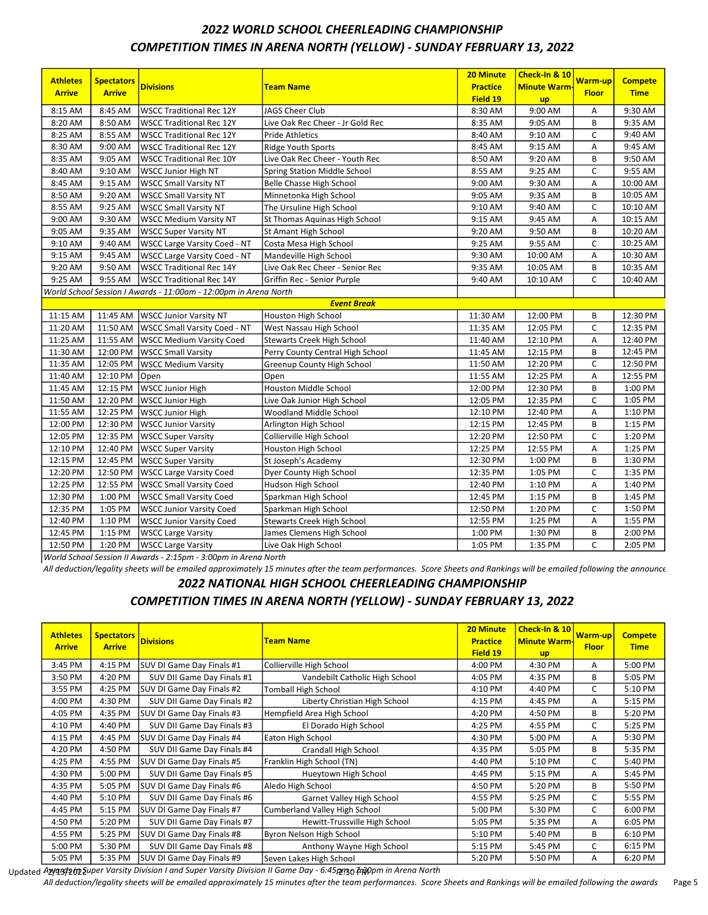# 2022 WORLD SCHOOL CHEERLEADING CHAMPIONSHIP COMPETITION TIMES IN ARENA NORTH (YELLOW) - SUNDAY FEBRUARY 13, 2022

| <b>Athletes</b><br><b>Arrive</b> | <b>Spectators</b><br><b>Arrive</b> | <b>Divisions</b>                                                 | Team Name                         | 20 Minute<br><b>Practice</b> | Check-In & 10<br><b>Minute Warm</b> | <u>Warm-up</u><br><b>Floor</b> | <b>Compete</b><br><b>Time</b> |
|----------------------------------|------------------------------------|------------------------------------------------------------------|-----------------------------------|------------------------------|-------------------------------------|--------------------------------|-------------------------------|
|                                  |                                    |                                                                  |                                   | Field 19                     | <b>up</b>                           |                                |                               |
| 8:15 AM                          | 8:45 AM                            | <b>WSCC Traditional Rec 12Y</b>                                  | JAGS Cheer Club                   | 8:30 AM                      | 9:00 AM                             | Α                              | 9:30 AM                       |
| 8:20 AM                          | 8:50 AM                            | <b>WSCC Traditional Rec 12Y</b>                                  | Live Oak Rec Cheer - Jr Gold Rec  | 8:35 AM                      | 9:05 AM                             | B                              | 9:35 AM                       |
| 8:25 AM                          | 8:55 AM                            | <b>WSCC Traditional Rec 12Y</b>                                  | <b>Pride Athletics</b>            | 8:40 AM                      | 9:10 AM                             | C                              | 9:40 AM                       |
| 8:30 AM                          | 9:00 AM                            | <b>WSCC Traditional Rec 12Y</b>                                  | <b>Ridge Youth Sports</b>         | 8:45 AM                      | 9:15 AM                             | Α                              | 9:45 AM                       |
| 8:35 AM                          | 9:05 AM                            | <b>WSCC Traditional Rec 10Y</b>                                  | Live Oak Rec Cheer - Youth Rec    | 8:50 AM                      | 9:20 AM                             | B                              | 9:50 AM                       |
| 8:40 AM                          | 9:10 AM                            | <b>WSCC Junior High NT</b>                                       | Spring Station Middle School      | 8:55 AM                      | 9:25 AM                             | C                              | 9:55 AM                       |
| 8:45 AM                          | 9:15 AM                            | <b>WSCC Small Varsity NT</b>                                     | Belle Chasse High School          | 9:00 AM                      | 9:30 AM                             | А                              | 10:00 AM                      |
| 8:50 AM                          | 9:20 AM                            | <b>WSCC Small Varsity NT</b>                                     | Minnetonka High School            | 9:05 AM                      | 9:35 AM                             | B                              | 10:05 AM                      |
| 8:55 AM                          | 9:25 AM                            | <b>WSCC Small Varsity NT</b>                                     | The Ursuline High School          | 9:10 AM                      | 9:40 AM                             | C                              | 10:10 AM                      |
| 9:00 AM                          | 9:30 AM                            | <b>WSCC Medium Varsity NT</b>                                    | St Thomas Aquinas High School     | 9:15 AM                      | 9:45 AM                             | Α                              | 10:15 AM                      |
| 9:05 AM                          | 9:35 AM                            | <b>WSCC Super Varsity NT</b>                                     | St Amant High School              | 9:20 AM                      | 9:50 AM                             | B                              | 10:20 AM                      |
| 9:10 AM                          | 9:40 AM                            | <b>WSCC Large Varsity Coed - NT</b>                              | Costa Mesa High School            | 9:25 AM                      | 9:55 AM                             | C                              | 10:25 AM                      |
| 9:15 AM                          | 9:45 AM                            | <b>WSCC Large Varsity Coed - NT</b>                              | Mandeville High School            | 9:30 AM                      | 10:00 AM                            | Α                              | 10:30 AM                      |
| 9:20 AM                          | 9:50 AM                            | <b>WSCC Traditional Rec 14Y</b>                                  | Live Oak Rec Cheer - Senior Rec   | 9:35 AM                      | 10:05 AM                            | В                              | 10:35 AM                      |
| 9:25 AM                          | 9:55 AM                            | <b>WSCC Traditional Rec 14Y</b>                                  | Griffin Rec - Senior Purple       | 9:40 AM                      | 10:10 AM                            | C                              | 10:40 AM                      |
|                                  |                                    | World School Session I Awards - 11:00am - 12:00pm in Arena North |                                   |                              |                                     |                                |                               |
|                                  |                                    |                                                                  | <b>Event Break</b>                |                              |                                     |                                |                               |
| 11:15 AM                         | 11:45 AM                           | <b>WSCC Junior Varsity NT</b>                                    | <b>Houston High School</b>        | 11:30 AM                     | 12:00 PM                            | B                              | 12:30 PM                      |
| 11:20 AM                         | 11:50 AM                           | <b>WSCC Small Varsity Coed - NT</b>                              | West Nassau High School           | 11:35 AM                     | 12:05 PM                            | C                              | 12:35 PM                      |
| 11:25 AM                         | 11:55 AM                           | <b>WSCC Medium Varsity Coed</b>                                  | <b>Stewarts Creek High School</b> | 11:40 AM                     | 12:10 PM                            | Α                              | 12:40 PM                      |
| 11:30 AM                         | 12:00 PM                           | <b>WSCC Small Varsity</b>                                        | Perry County Central High School  | 11:45 AM                     | 12:15 PM                            | В                              | 12:45 PM                      |
| 11:35 AM                         | 12:05 PM                           | <b>WSCC Medium Varsity</b>                                       | Greenup County High School        | 11:50 AM                     | 12:20 PM                            | C                              | 12:50 PM                      |
| 11:40 AM                         | 12:10 PM                           | Open                                                             | Open                              | 11:55 AM                     | 12:25 PM                            | Α                              | 12:55 PM                      |
| 11:45 AM                         | 12:15 PM                           | <b>WSCC Junior High</b>                                          | Houston Middle School             | 12:00 PM                     | 12:30 PM                            | B                              | 1:00 PM                       |
| 11:50 AM                         | 12:20 PM                           | <b>WSCC Junior High</b>                                          | Live Oak Junior High School       | 12:05 PM                     | 12:35 PM                            | C                              | 1:05 PM                       |
| 11:55 AM                         | 12:25 PM                           | <b>WSCC Junior High</b>                                          | Woodland Middle School            | 12:10 PM                     | 12:40 PM                            | Α                              | 1:10 PM                       |
| 12:00 PM                         | 12:30 PM                           | <b>WSCC Junior Varsity</b>                                       | Arlington High School             | 12:15 PM                     | 12:45 PM                            | В                              | 1:15 PM                       |
| 12:05 PM                         | 12:35 PM                           | <b>WSCC Super Varsity</b>                                        | Collierville High School          | 12:20 PM                     | 12:50 PM                            | С                              | 1:20 PM                       |
| 12:10 PM                         | 12:40 PM                           | <b>WSCC Super Varsity</b>                                        | Houston High School               | 12:25 PM                     | 12:55 PM                            | Α                              | 1:25 PM                       |
| 12:15 PM                         | 12:45 PM                           | <b>WSCC Super Varsity</b>                                        | St Joseph's Academy               | 12:30 PM                     | 1:00 PM                             | B                              | 1:30 PM                       |
| 12:20 PM                         | 12:50 PM                           | <b>WSCC Large Varsity Coed</b>                                   | Dyer County High School           | 12:35 PM                     | 1:05 PM                             | С                              | 1:35 PM                       |
| 12:25 PM                         | 12:55 PM                           | <b>WSCC Small Varsity Coed</b>                                   | Hudson High School                | 12:40 PM                     | 1:10 PM                             | А                              | 1:40 PM                       |
| 12:30 PM                         | 1:00 PM                            | <b>WSCC Small Varsity Coed</b>                                   | Sparkman High School              | 12:45 PM                     | 1:15 PM                             | В                              | 1:45 PM                       |
| 12:35 PM                         | 1:05 PM                            | <b>WSCC Junior Varsity Coed</b>                                  | Sparkman High School              | 12:50 PM                     | 1:20 PM                             | C                              | 1:50 PM                       |
| 12:40 PM                         | 1:10 PM                            | <b>WSCC Junior Varsity Coed</b>                                  | Stewarts Creek High School        | 12:55 PM                     | 1:25 PM                             | А                              | 1:55 PM                       |
| 12:45 PM                         | 1:15 PM                            | <b>WSCC Large Varsity</b>                                        | James Clemens High School         | 1:00 PM                      | 1:30 PM                             | B                              | 2:00 PM                       |
| 12:50 PM                         | 1:20 PM                            | <b>WSCC Large Varsity</b>                                        | Live Oak High School              | 1:05 PM                      | 1:35 PM                             | $\mathsf{C}$                   | 2:05 PM                       |

World School Session II Awards - 2:15pm - 3:00pm in Arena North

All deduction/legality sheets will be emailed approximately 15 minutes after the team performances. Score Sheets and Rankings will be emailed following the announce

2022 NATIONAL HIGH SCHOOL CHEERLEADING CHAMPIONSHIP

#### COMPETITION TIMES IN ARENA NORTH (YELLOW) - SUNDAY FEBRUARY 13, 2022

| <b>Athletes</b><br><b>Arrive</b> | <b>Spectators</b><br><b>Arrive</b> | <b>Divisions</b>           | <b>Team Name</b>                     | <b>20 Minute</b><br><b>Practice</b><br>Field 19 | Check-In & 10<br><b>Minute Warm-</b><br><b>up</b> | <b>Warm-up</b><br><b>Floor</b> | <b>Compete</b><br><b>Time</b> |
|----------------------------------|------------------------------------|----------------------------|--------------------------------------|-------------------------------------------------|---------------------------------------------------|--------------------------------|-------------------------------|
| 3:45 PM                          | 4:15 PM                            | SUV DI Game Day Finals #1  | Collierville High School             | 4:00 PM                                         | 4:30 PM                                           | A                              | 5:00 PM                       |
| 3:50 PM                          | 4:20 PM                            | SUV DII Game Day Finals #1 | Vandebilt Catholic High School       | 4:05 PM                                         | 4:35 PM                                           | В                              | 5:05 PM                       |
| 3:55 PM                          | 4:25 PM                            | SUV DI Game Day Finals #2  | Tomball High School                  | 4:10 PM                                         | 4:40 PM                                           | C                              | 5:10 PM                       |
| 4:00 PM                          | 4:30 PM                            | SUV DII Game Day Finals #2 | Liberty Christian High School        | 4:15 PM                                         | 4:45 PM                                           | A                              | 5:15 PM                       |
| 4:05 PM                          | 4:35 PM                            | SUV DI Game Day Finals #3  | Hempfield Area High School           | 4:20 PM                                         | 4:50 PM                                           | В                              | 5:20 PM                       |
| 4:10 PM                          | 4:40 PM                            | SUV DII Game Day Finals #3 | El Dorado High School                | 4:25 PM                                         | 4:55 PM                                           | C                              | 5:25 PM                       |
| 4:15 PM                          | 4:45 PM                            | SUV DI Game Day Finals #4  | Eaton High School                    | 4:30 PM                                         | 5:00 PM                                           | А                              | 5:30 PM                       |
| 4:20 PM                          | 4:50 PM                            | SUV DII Game Day Finals #4 | Crandall High School                 | 4:35 PM                                         | 5:05 PM                                           | B                              | 5:35 PM                       |
| 4:25 PM                          | 4:55 PM                            | SUV DI Game Day Finals #5  | Franklin High School (TN)            | 4:40 PM                                         | 5:10 PM                                           | C                              | 5:40 PM                       |
| 4:30 PM                          | 5:00 PM                            | SUV DII Game Day Finals #5 | Hueytown High School                 | 4:45 PM                                         | 5:15 PM                                           | A                              | 5:45 PM                       |
| 4:35 PM                          | 5:05 PM                            | SUV DI Game Day Finals #6  | Aledo High School                    | 4:50 PM                                         | 5:20 PM                                           | B                              | 5:50 PM                       |
| 4:40 PM                          | 5:10 PM                            | SUV DII Game Day Finals #6 | Garnet Valley High School            | 4:55 PM                                         | 5:25 PM                                           | C                              | 5:55 PM                       |
| 4:45 PM                          | 5:15 PM                            | SUV DI Game Day Finals #7  | <b>Cumberland Valley High School</b> | 5:00 PM                                         | 5:30 PM                                           | C                              | 6:00 PM                       |
| 4:50 PM                          | 5:20 PM                            | SUV DII Game Day Finals #7 | Hewitt-Trussville High School        | 5:05 PM                                         | 5:35 PM                                           | А                              | 6:05 PM                       |
| 4:55 PM                          | 5:25 PM                            | SUV DI Game Day Finals #8  | Byron Nelson High School             | 5:10 PM                                         | 5:40 PM                                           | В                              | 6:10 PM                       |
| 5:00 PM                          | 5:30 PM                            | SUV DII Game Day Finals #8 | Anthony Wayne High School            | 5:15 PM                                         | 5:45 PM                                           | C                              | 6:15 PM                       |
| 5:05 PM                          | 5:35 PM                            | SUV DI Game Day Finals #9  | Seven Lakes High School              | 5:20 PM                                         | 5:50 PM                                           | A                              | 6:20 PM                       |

Updated A**zyqɛʃɔ̯ɔ̯**ʊ̯p2̪uper Varsity Division I and Super Varsity Division II Game Day - 6:45p̥m 3 t͡x͡ppm in Arena North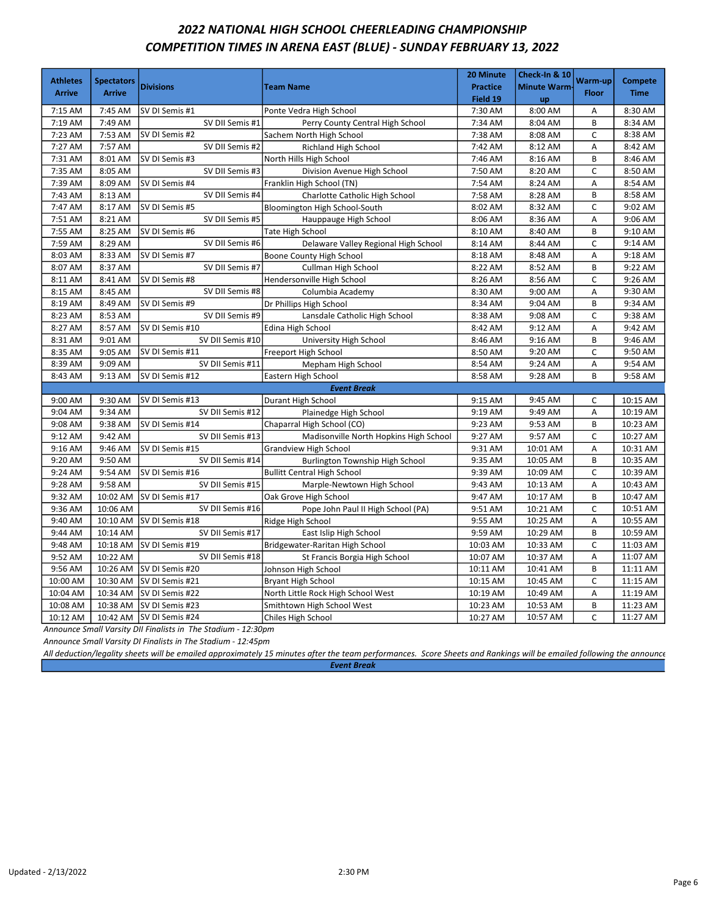## 2022 NATIONAL HIGH SCHOOL CHEERLEADING CHAMPIONSHIP COMPETITION TIMES IN ARENA EAST (BLUE) - SUNDAY FEBRUARY 13, 2022

| <b>Athletes</b><br><b>Arrive</b> | <b>Spectators</b><br><b>Arrive</b> | <b>Divisions</b> | <b>Team Name</b>                       | 20 Minute<br><b>Practice</b><br>Field 19 | <b>Check-In &amp; 10</b><br><b>Minute Warm-</b><br><b>up</b> | Warm-up<br><b>Floor</b> | <b>Compete</b><br><b>Time</b> |
|----------------------------------|------------------------------------|------------------|----------------------------------------|------------------------------------------|--------------------------------------------------------------|-------------------------|-------------------------------|
| 7:15 AM                          | 7:45 AM                            | SV DI Semis #1   | Ponte Vedra High School                | 7:30 AM                                  | 8:00 AM                                                      | A                       | 8:30 AM                       |
| 7:19 AM                          | 7:49 AM                            | SV DII Semis #1  | Perry County Central High School       | 7:34 AM                                  | 8:04 AM                                                      | B                       | 8:34 AM                       |
| 7:23 AM                          | 7:53 AM                            | SV DI Semis #2   | Sachem North High School               | 7:38 AM                                  | 8:08 AM                                                      | $\mathsf{C}$            | 8:38 AM                       |
| 7:27 AM                          | 7:57 AM                            | SV DII Semis #2  | <b>Richland High School</b>            | 7:42 AM                                  | 8:12 AM                                                      | A                       | 8:42 AM                       |
| 7:31 AM                          | 8:01 AM                            | SV DI Semis #3   | North Hills High School                | 7:46 AM                                  | 8:16 AM                                                      | B                       | 8:46 AM                       |
| 7:35 AM                          | 8:05 AM                            | SV DII Semis #3  | Division Avenue High School            | 7:50 AM                                  | 8:20 AM                                                      | $\mathsf{C}$            | 8:50 AM                       |
| 7:39 AM                          | 8:09 AM                            | SV DI Semis #4   | Franklin High School (TN)              | 7:54 AM                                  | 8:24 AM                                                      | Α                       | 8:54 AM                       |
| 7:43 AM                          | 8:13 AM                            | SV DII Semis #4  | Charlotte Catholic High School         | 7:58 AM                                  | 8:28 AM                                                      | B                       | 8:58 AM                       |
| 7:47 AM                          | 8:17 AM                            | SV DI Semis #5   | Bloomington High School-South          | 8:02 AM                                  | 8:32 AM                                                      | $\mathsf{C}$            | 9:02 AM                       |
| 7:51 AM                          | 8:21 AM                            | SV DII Semis #5  | Hauppauge High School                  | 8:06 AM                                  | 8:36 AM                                                      | Α                       | 9:06 AM                       |
| 7:55 AM                          | 8:25 AM                            | SV DI Semis #6   | Tate High School                       | 8:10 AM                                  | 8:40 AM                                                      | B                       | 9:10 AM                       |
| 7:59 AM                          | 8:29 AM                            | SV DII Semis #6  | Delaware Valley Regional High School   | 8:14 AM                                  | 8:44 AM                                                      | C                       | 9:14 AM                       |
| 8:03 AM                          | 8:33 AM                            | SV DI Semis #7   | Boone County High School               | 8:18 AM                                  | 8:48 AM                                                      | Α                       | 9:18 AM                       |
| 8:07 AM                          | 8:37 AM                            | SV DII Semis #7  | Cullman High School                    | 8:22 AM                                  | 8:52 AM                                                      | B                       | 9:22 AM                       |
| 8:11 AM                          | 8:41 AM                            | SV DI Semis #8   | Hendersonville High School             | 8:26 AM                                  | 8:56 AM                                                      | $\mathsf{C}$            | 9:26 AM                       |
| 8:15 AM                          | 8:45 AM                            | SV DII Semis #8  | Columbia Academy                       | 8:30 AM                                  | 9:00 AM                                                      | Α                       | 9:30 AM                       |
| 8:19 AM                          | 8:49 AM                            | SV DI Semis #9   | Dr Phillips High School                | 8:34 AM                                  | 9:04 AM                                                      | B                       | 9:34 AM                       |
| 8:23 AM                          | 8:53 AM                            | SV DII Semis #9  | Lansdale Catholic High School          | 8:38 AM                                  | 9:08 AM                                                      | $\mathsf{C}$            | 9:38 AM                       |
| 8:27 AM                          | 8:57 AM                            | SV DI Semis #10  | Edina High School                      | 8:42 AM                                  | 9:12 AM                                                      | A                       | 9:42 AM                       |
| 8:31 AM                          | 9:01 AM                            | SV DII Semis #10 | University High School                 | 8:46 AM                                  | 9:16 AM                                                      | B                       | 9:46 AM                       |
| 8:35 AM                          | 9:05 AM                            | SV DI Semis #11  | Freeport High School                   | 8:50 AM                                  | 9:20 AM                                                      | $\mathsf{C}$            | 9:50 AM                       |
| 8:39 AM                          | 9:09 AM                            | SV DII Semis #11 | Mepham High School                     | 8:54 AM                                  | 9:24 AM                                                      | Α                       | 9:54 AM                       |
| 8:43 AM                          | 9:13 AM                            | SV DI Semis #12  | Eastern High School                    | 8:58 AM                                  | 9:28 AM                                                      | B                       | 9:58 AM                       |
|                                  |                                    |                  | <b>Event Break</b>                     |                                          |                                                              |                         |                               |
| 9:00 AM                          | 9:30 AM                            | SV DI Semis #13  | Durant High School                     | 9:15 AM                                  | 9:45 AM                                                      | $\mathsf{C}$            | 10:15 AM                      |
| 9:04 AM                          | 9:34 AM                            | SV DII Semis #12 | Plainedge High School                  | 9:19 AM                                  | 9:49 AM                                                      | Α                       | 10:19 AM                      |
| 9:08 AM                          | 9:38 AM                            | SV DI Semis #14  | Chaparral High School (CO)             | 9:23 AM                                  | 9:53 AM                                                      | B                       | 10:23 AM                      |
| 9:12 AM                          | 9:42 AM                            | SV DII Semis #13 | Madisonville North Hopkins High School | 9:27 AM                                  | 9:57 AM                                                      | C                       | 10:27 AM                      |
| 9:16 AM                          | 9:46 AM                            | SV DI Semis #15  | <b>Grandview High School</b>           | 9:31 AM                                  | 10:01 AM                                                     | Α                       | 10:31 AM                      |
| 9:20 AM                          | 9:50 AM                            | SV DII Semis #14 | <b>Burlington Township High School</b> | 9:35 AM                                  | 10:05 AM                                                     | B                       | 10:35 AM                      |
| 9:24 AM                          | 9:54 AM                            | SV DI Semis #16  | <b>Bullitt Central High School</b>     | 9:39 AM                                  | 10:09 AM                                                     | $\mathsf{C}$            | 10:39 AM                      |
| 9:28 AM                          | 9:58 AM                            | SV DII Semis #15 | Marple-Newtown High School             | 9:43 AM                                  | 10:13 AM                                                     | Α                       | 10:43 AM                      |
| 9:32 AM                          | 10:02 AM                           | SV DI Semis #17  | Oak Grove High School                  | 9:47 AM                                  | 10:17 AM                                                     | B                       | 10:47 AM                      |
| 9:36 AM                          | 10:06 AM                           | SV DII Semis #16 | Pope John Paul II High School (PA)     | 9:51 AM                                  | 10:21 AM                                                     | $\mathsf{C}$            | 10:51 AM                      |
| 9:40 AM                          | 10:10 AM                           | SV DI Semis #18  | Ridge High School                      | 9:55 AM                                  | 10:25 AM                                                     | Α                       | 10:55 AM                      |
| 9:44 AM                          | 10:14 AM                           | SV DII Semis #17 | East Islip High School                 | 9:59 AM                                  | 10:29 AM                                                     | B                       | 10:59 AM                      |
| 9:48 AM                          | 10:18 AM                           | SV DI Semis #19  | Bridgewater-Raritan High School        | 10:03 AM                                 | 10:33 AM                                                     | $\mathsf C$             | 11:03 AM                      |
| 9:52 AM                          | 10:22 AM                           | SV DII Semis #18 | St Francis Borgia High School          | 10:07 AM                                 | 10:37 AM                                                     | A                       | 11:07 AM                      |
| 9:56 AM                          | 10:26 AM                           | SV DI Semis #20  | Johnson High School                    | 10:11 AM                                 | 10:41 AM                                                     | B                       | 11:11 AM                      |
| 10:00 AM                         | 10:30 AM                           | SV DI Semis #21  | <b>Bryant High School</b>              | 10:15 AM                                 | 10:45 AM                                                     | $\mathsf{C}$            | 11:15 AM                      |
| 10:04 AM                         | 10:34 AM                           | SV DI Semis #22  | North Little Rock High School West     | 10:19 AM                                 | 10:49 AM                                                     | А                       | 11:19 AM                      |
| 10:08 AM                         | 10:38 AM                           | SV DI Semis #23  | Smithtown High School West             | 10:23 AM                                 | 10:53 AM                                                     | B                       | 11:23 AM                      |
| 10:12 AM                         | 10:42 AM                           | SV DI Semis #24  | Chiles High School                     | 10:27 AM                                 | 10:57 AM                                                     | $\mathsf{C}$            | 11:27 AM                      |

Announce Small Varsity DII Finalists in The Stadium - 12:30pm

Announce Small Varsity DI Finalists in The Stadium - 12:45pm

All deduction/legality sheets will be emailed approximately 15 minutes after the team performances. Score Sheets and Rankings will be emailed following the announce

Event Break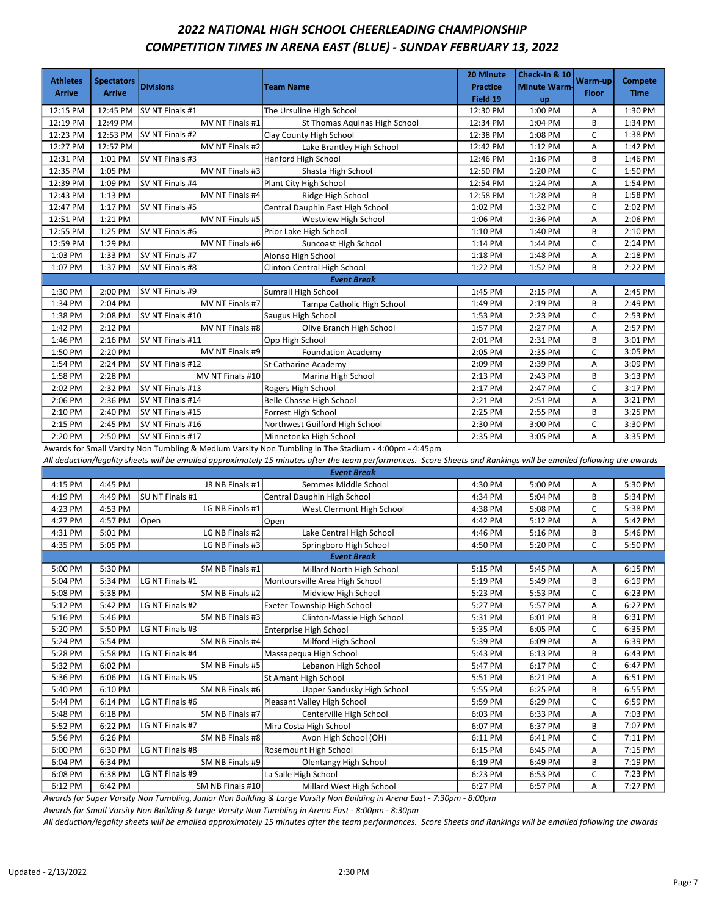## 2022 NATIONAL HIGH SCHOOL CHEERLEADING CHAMPIONSHIP COMPETITION TIMES IN ARENA EAST (BLUE) - SUNDAY FEBRUARY 13, 2022

| <b>Athletes</b><br><b>Arrive</b> | <b>Spectators</b><br><b>Arrive</b> | <b>Divisions</b> | <b>Team Name</b>                 | 20 Minute<br><b>Practice</b><br>Field 19 | Check-In & 10<br><b>Minute Warm-</b><br><b>up</b> | Warm-up<br><b>Floor</b> | <b>Compete</b><br><b>Time</b> |
|----------------------------------|------------------------------------|------------------|----------------------------------|------------------------------------------|---------------------------------------------------|-------------------------|-------------------------------|
| 12:15 PM                         | 12:45 PM                           | SV NT Finals #1  | The Ursuline High School         | 12:30 PM                                 | 1:00 PM                                           | A                       | 1:30 PM                       |
| 12:19 PM                         | 12:49 PM                           | MV NT Finals #1  | St Thomas Aquinas High School    | 12:34 PM                                 | 1:04 PM                                           | B                       | 1:34 PM                       |
| 12:23 PM                         | 12:53 PM                           | SV NT Finals #2  | Clay County High School          | 12:38 PM                                 | 1:08 PM                                           | C                       | 1:38 PM                       |
| 12:27 PM                         | 12:57 PM                           | MV NT Finals #2  | Lake Brantley High School        | 12:42 PM                                 | 1:12 PM                                           | Α                       | 1:42 PM                       |
| 12:31 PM                         | 1:01 PM                            | SV NT Finals #3  | Hanford High School              | 12:46 PM                                 | 1:16 PM                                           | B                       | 1:46 PM                       |
| 12:35 PM                         | 1:05 PM                            | MV NT Finals #3  | Shasta High School               | 12:50 PM                                 | 1:20 PM                                           | $\mathsf{C}$            | 1:50 PM                       |
| 12:39 PM                         | 1:09 PM                            | SV NT Finals #4  | Plant City High School           | 12:54 PM                                 | 1:24 PM                                           | A                       | 1:54 PM                       |
| 12:43 PM                         | 1:13 PM                            | MV NT Finals #4  | Ridge High School                | 12:58 PM                                 | 1:28 PM                                           | B                       | 1:58 PM                       |
| 12:47 PM                         | 1:17 PM                            | SV NT Finals #5  | Central Dauphin East High School | 1:02 PM                                  | 1:32 PM                                           | $\mathsf{C}$            | 2:02 PM                       |
| 12:51 PM                         | 1:21 PM                            | MV NT Finals #5  | Westview High School             | 1:06 PM                                  | 1:36 PM                                           | A                       | 2:06 PM                       |
| 12:55 PM                         | 1:25 PM                            | SV NT Finals #6  | Prior Lake High School           | 1:10 PM                                  | 1:40 PM                                           | B                       | 2:10 PM                       |
| 12:59 PM                         | 1:29 PM                            | MV NT Finals #6  | Suncoast High School             | 1:14 PM                                  | 1:44 PM                                           | C                       | 2:14 PM                       |
| 1:03 PM                          | 1:33 PM                            | SV NT Finals #7  | Alonso High School               | 1:18 PM                                  | 1:48 PM                                           | Α                       | 2:18 PM                       |
| 1:07 PM                          | 1:37 PM                            | SV NT Finals #8  | Clinton Central High School      | 1:22 PM                                  | 1:52 PM                                           | B                       | 2:22 PM                       |
|                                  |                                    |                  | <b>Event Break</b>               |                                          |                                                   |                         |                               |
| 1:30 PM                          | 2:00 PM                            | SV NT Finals #9  | <b>Sumrall High School</b>       | 1:45 PM                                  | 2:15 PM                                           | A                       | 2:45 PM                       |
| 1:34 PM                          | 2:04 PM                            | MV NT Finals #7  | Tampa Catholic High School       | 1:49 PM                                  | 2:19 PM                                           | B                       | 2:49 PM                       |
| 1:38 PM                          | 2:08 PM                            | SV NT Finals #10 | Saugus High School               | 1:53 PM                                  | 2:23 PM                                           | C                       | 2:53 PM                       |
| 1:42 PM                          | 2:12 PM                            | MV NT Finals #8  | Olive Branch High School         | 1:57 PM                                  | 2:27 PM                                           | Α                       | 2:57 PM                       |
| 1:46 PM                          | 2:16 PM                            | SV NT Finals #11 | Opp High School                  | 2:01 PM                                  | 2:31 PM                                           | B                       | 3:01 PM                       |
| 1:50 PM                          | 2:20 PM                            | MV NT Finals #9  | <b>Foundation Academy</b>        | 2:05 PM                                  | 2:35 PM                                           | C                       | 3:05 PM                       |
| 1:54 PM                          | 2:24 PM                            | SV NT Finals #12 | St Catharine Academy             | 2:09 PM                                  | 2:39 PM                                           | A                       | 3:09 PM                       |
| 1:58 PM                          | 2:28 PM                            | MV NT Finals #10 | Marina High School               | 2:13 PM                                  | 2:43 PM                                           | B                       | 3:13 PM                       |
| 2:02 PM                          | 2:32 PM                            | SV NT Finals #13 | Rogers High School               | 2:17 PM                                  | 2:47 PM                                           | C                       | 3:17 PM                       |
| 2:06 PM                          | 2:36 PM                            | SV NT Finals #14 | Belle Chasse High School         | 2:21 PM                                  | 2:51 PM                                           | Α                       | 3:21 PM                       |
| 2:10 PM                          | 2:40 PM                            | SV NT Finals #15 | Forrest High School              | 2:25 PM                                  | 2:55 PM                                           | B                       | 3:25 PM                       |
| 2:15 PM                          | 2:45 PM                            | SV NT Finals #16 | Northwest Guilford High School   | 2:30 PM                                  | 3:00 PM                                           | $\mathsf{C}$            | 3:30 PM                       |
| 2:20 PM                          | 2:50 PM                            | SV NT Finals #17 | Minnetonka High School           | 2:35 PM                                  | 3:05 PM                                           | А                       | 3:35 PM                       |

Awards for Small Varsity Non Tumbling & Medium Varsity Non Tumbling in The Stadium - 4:00pm - 4:45pm

All deduction/legality sheets will be emailed approximately 15 minutes after the team performances. Score Sheets and Rankings will be emailed following the awards

|         | <b>Event Break</b> |                  |                                |         |         |   |         |  |  |  |
|---------|--------------------|------------------|--------------------------------|---------|---------|---|---------|--|--|--|
| 4:15 PM | 4:45 PM            | JR NB Finals #1  | Semmes Middle School           | 4:30 PM | 5:00 PM | A | 5:30 PM |  |  |  |
| 4:19 PM | 4:49 PM            | SU NT Finals #1  | Central Dauphin High School    | 4:34 PM | 5:04 PM | B | 5:34 PM |  |  |  |
| 4:23 PM | 4:53 PM            | LG NB Finals #1  | West Clermont High School      | 4:38 PM | 5:08 PM | C | 5:38 PM |  |  |  |
| 4:27 PM | 4:57 PM            | Open             | Open                           | 4:42 PM | 5:12 PM | A | 5:42 PM |  |  |  |
| 4:31 PM | 5:01 PM            | LG NB Finals #2  | Lake Central High School       | 4:46 PM | 5:16 PM | B | 5:46 PM |  |  |  |
| 4:35 PM | 5:05 PM            | LG NB Finals #3  | Springboro High School         | 4:50 PM | 5:20 PM | C | 5:50 PM |  |  |  |
|         |                    |                  | <b>Event Break</b>             |         |         |   |         |  |  |  |
| 5:00 PM | 5:30 PM            | SM NB Finals #1  | Millard North High School      | 5:15 PM | 5:45 PM | Α | 6:15 PM |  |  |  |
| 5:04 PM | 5:34 PM            | LG NT Finals #1  | Montoursville Area High School | 5:19 PM | 5:49 PM | B | 6:19 PM |  |  |  |
| 5:08 PM | 5:38 PM            | SM NB Finals #2  | Midview High School            | 5:23 PM | 5:53 PM | C | 6:23 PM |  |  |  |
| 5:12 PM | 5:42 PM            | LG NT Finals #2  | Exeter Township High School    | 5:27 PM | 5:57 PM | Α | 6:27 PM |  |  |  |
| 5:16 PM | 5:46 PM            | SM NB Finals #3  | Clinton-Massie High School     | 5:31 PM | 6:01 PM | B | 6:31 PM |  |  |  |
| 5:20 PM | 5:50 PM            | LG NT Finals #3  | Enterprise High School         | 5:35 PM | 6:05 PM | C | 6:35 PM |  |  |  |
| 5:24 PM | 5:54 PM            | SM NB Finals #4  | Milford High School            | 5:39 PM | 6:09 PM | A | 6:39 PM |  |  |  |
| 5:28 PM | 5:58 PM            | LG NT Finals #4  | Massapegua High School         | 5:43 PM | 6:13 PM | B | 6:43 PM |  |  |  |
| 5:32 PM | 6:02 PM            | SM NB Finals #5  | Lebanon High School            | 5:47 PM | 6:17 PM | C | 6:47 PM |  |  |  |
| 5:36 PM | 6:06 PM            | LG NT Finals #5  | St Amant High School           | 5:51 PM | 6:21 PM | A | 6:51 PM |  |  |  |
| 5:40 PM | 6:10 PM            | SM NB Finals #6  | Upper Sandusky High School     | 5:55 PM | 6:25 PM | B | 6:55 PM |  |  |  |
| 5:44 PM | 6:14 PM            | LG NT Finals #6  | Pleasant Valley High School    | 5:59 PM | 6:29 PM | C | 6:59 PM |  |  |  |
| 5:48 PM | 6:18 PM            | SM NB Finals #7  | Centerville High School        | 6:03 PM | 6:33 PM | Α | 7:03 PM |  |  |  |
| 5:52 PM | 6:22 PM            | LG NT Finals #7  | Mira Costa High School         | 6:07 PM | 6:37 PM | B | 7:07 PM |  |  |  |
| 5:56 PM | 6:26 PM            | SM NB Finals #8  | Avon High School (OH)          | 6:11 PM | 6:41 PM | C | 7:11 PM |  |  |  |
| 6:00 PM | 6:30 PM            | LG NT Finals #8  | <b>Rosemount High School</b>   | 6:15 PM | 6:45 PM | A | 7:15 PM |  |  |  |
| 6:04 PM | 6:34 PM            | SM NB Finals #9  | <b>Olentangy High School</b>   | 6:19 PM | 6:49 PM | B | 7:19 PM |  |  |  |
| 6:08 PM | 6:38 PM            | LG NT Finals #9  | La Salle High School           | 6:23 PM | 6:53 PM | C | 7:23 PM |  |  |  |
| 6:12 PM | 6:42 PM            | SM NB Finals #10 | Millard West High School       | 6:27 PM | 6:57 PM | A | 7:27 PM |  |  |  |

Awards for Super Varsity Non Tumbling, Junior Non Building & Large Varsity Non Building in Arena East - 7:30pm - 8:00pm

Awards for Small Varsity Non Building & Large Varsity Non Tumbling in Arena East - 8:00pm - 8:30pm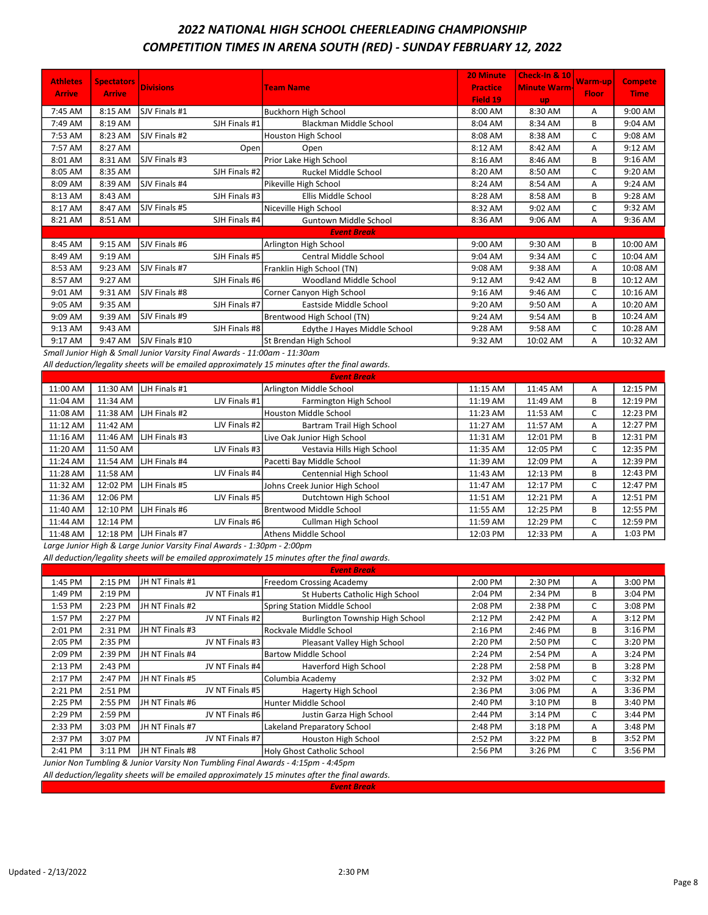## 2022 NATIONAL HIGH SCHOOL CHEERLEADING CHAMPIONSHIP COMPETITION TIMES IN ARENA SOUTH (RED) - SUNDAY FEBRUARY 12, 2022

| <b>Athletes</b> |                                    |                  |                               | <b>20 Minute</b> | Check-In & 10       |                  |                               |
|-----------------|------------------------------------|------------------|-------------------------------|------------------|---------------------|------------------|-------------------------------|
|                 | <b>Spectators</b><br><b>Arrive</b> | <b>Divisions</b> | <b>Team Name</b>              | <b>Practice</b>  | <b>Minute Warm-</b> | Warm-up<br>Floor | <b>Compete</b><br><b>Time</b> |
| <b>Arrive</b>   |                                    |                  |                               | Field 19         | <b>up</b>           |                  |                               |
| 7:45 AM         | 8:15 AM                            | SJV Finals #1    | Buckhorn High School          | 8:00 AM          | 8:30 AM             | Α                | 9:00 AM                       |
| 7:49 AM         | 8:19 AM                            | SJH Finals #1    | <b>Blackman Middle School</b> | 8:04 AM          | 8:34 AM             | В                | 9:04 AM                       |
| 7:53 AM         | 8:23 AM                            | SJV Finals #2    | Houston High School           | 8:08 AM          | 8:38 AM             | C                | 9:08 AM                       |
| 7:57 AM         | 8:27 AM                            | Open             | Open                          | 8:12 AM          | 8:42 AM             | A                | 9:12 AM                       |
| 8:01 AM         | 8:31 AM                            | SJV Finals #3    | Prior Lake High School        | 8:16 AM          | 8:46 AM             | B                | 9:16 AM                       |
| 8:05 AM         | 8:35 AM                            | SJH Finals #2    | Ruckel Middle School          | 8:20 AM          | 8:50 AM             | C                | 9:20 AM                       |
| 8:09 AM         | 8:39 AM                            | SJV Finals #4    | Pikeville High School         | 8:24 AM          | 8:54 AM             | A                | 9:24 AM                       |
| 8:13 AM         | 8:43 AM                            | SJH Finals #3    | Ellis Middle School           | 8:28 AM          | 8:58 AM             | B                | 9:28 AM                       |
| 8:17 AM         | 8:47 AM                            | SJV Finals #5    | Niceville High School         | 8:32 AM          | 9:02 AM             | C                | 9:32 AM                       |
| 8:21 AM         | 8:51 AM                            | SJH Finals #4    | <b>Guntown Middle School</b>  | 8:36 AM          | 9:06 AM             | A                | 9:36 AM                       |
|                 |                                    |                  | <b>Event Break</b>            |                  |                     |                  |                               |
| 8:45 AM         | 9:15 AM                            | SJV Finals #6    | Arlington High School         | 9:00 AM          | 9:30 AM             | B                | 10:00 AM                      |
| 8:49 AM         | 9:19 AM                            | SJH Finals #5    | Central Middle School         | 9:04 AM          | 9:34 AM             | C                | 10:04 AM                      |
| 8:53 AM         | 9:23 AM                            | SJV Finals #7    | Franklin High School (TN)     | 9:08 AM          | 9:38 AM             | A                | 10:08 AM                      |
| 8:57 AM         | 9:27 AM                            | SJH Finals #6    | Woodland Middle School        | 9:12 AM          | 9:42 AM             | В                | 10:12 AM                      |
| 9:01 AM         | 9:31 AM                            | SJV Finals #8    | Corner Canyon High School     | 9:16 AM          | 9:46 AM             | C                | 10:16 AM                      |
| 9:05 AM         | 9:35 AM                            | SJH Finals #7    | Eastside Middle School        | 9:20 AM          | 9:50 AM             | Α                | 10:20 AM                      |
| 9:09 AM         | 9:39 AM                            | SJV Finals #9    | Brentwood High School (TN)    | 9:24 AM          | 9:54 AM             | B                | 10:24 AM                      |
| 9:13 AM         | 9:43 AM                            | SJH Finals #8    | Edythe J Hayes Middle School  | 9:28 AM          | 9:58 AM             | C                | 10:28 AM                      |
| 9:17 AM         | 9:47 AM                            | SJV Finals #10   | St Brendan High School        | 9:32 AM          | 10:02 AM            | A                | 10:32 AM                      |

Small Junior High & Small Junior Varsity Final Awards - 11:00am - 11:30am

All deduction/legality sheets will be emailed approximately 15 minutes after the final awards.

| <b>Event Break</b> |          |                      |                                |          |          |   |          |  |
|--------------------|----------|----------------------|--------------------------------|----------|----------|---|----------|--|
| 11:00 AM           | 11:30 AM | LJH Finals #1        | Arlington Middle School        | 11:15 AM | 11:45 AM | A | 12:15 PM |  |
| 11:04 AM           | 11:34 AM | LJV Finals #1        | Farmington High School         | 11:19 AM | 11:49 AM | B | 12:19 PM |  |
| 11:08 AM           | 11:38 AM | <b>LIH Finals #2</b> | Houston Middle School          | 11:23 AM | 11:53 AM | C | 12:23 PM |  |
| 11:12 AM           | 11:42 AM | LJV Finals #21       | Bartram Trail High School      | 11:27 AM | 11:57 AM | A | 12:27 PM |  |
| 11:16 AM           | 11:46 AM | <b>LJH Finals #3</b> | Live Oak Junior High School    | 11:31 AM | 12:01 PM | B | 12:31 PM |  |
| 11:20 AM           | 11:50 AM | LJV Finals #3        | Vestavia Hills High School     | 11:35 AM | 12:05 PM | C | 12:35 PM |  |
| 11:24 AM           | 11:54 AM | <b>LJH Finals #4</b> | Pacetti Bay Middle School      | 11:39 AM | 12:09 PM | A | 12:39 PM |  |
| 11:28 AM           | 11:58 AM | LJV Finals #4        | Centennial High School         | 11:43 AM | 12:13 PM | В | 12:43 PM |  |
| 11:32 AM           | 12:02 PM | LJH Finals #5        | Johns Creek Junior High School | 11:47 AM | 12:17 PM | C | 12:47 PM |  |
| 11:36 AM           | 12:06 PM | LJV Finals #5        | Dutchtown High School          | 11:51 AM | 12:21 PM | A | 12:51 PM |  |
| 11:40 AM           | 12:10 PM | <b>LH</b> Finals #6  | Brentwood Middle School        | 11:55 AM | 12:25 PM | B | 12:55 PM |  |
| 11:44 AM           | 12:14 PM | LJV Finals #6        | Cullman High School            | 11:59 AM | 12:29 PM | C | 12:59 PM |  |
| 11:48 AM           | 12:18 PM | <b>LJH Finals #7</b> | lAthens Middle School          | 12:03 PM | 12:33 PM | A | 1:03 PM  |  |

Large Junior High & Large Junior Varsity Final Awards - 1:30pm - 2:00pm

All deduction/legality sheets will be emailed approximately 15 minutes after the final awards.

| <b>Event Break</b> |                                                                               |                  |                                    |           |           |   |         |  |  |  |
|--------------------|-------------------------------------------------------------------------------|------------------|------------------------------------|-----------|-----------|---|---------|--|--|--|
| 1:45 PM            | 2:15 PM                                                                       | JH NT Finals #1  | Freedom Crossing Academy           | 2:00 PM   | 2:30 PM   | A | 3:00 PM |  |  |  |
| 1:49 PM            | 2:19 PM                                                                       | JV NT Finals #1  | St Huberts Catholic High School    | 2:04 PM   | 2:34 PM   | в | 3:04 PM |  |  |  |
| 1:53 PM            | 2:23 PM                                                                       | JH NT Finals #2  | Spring Station Middle School       | 2:08 PM   | 2:38 PM   | C | 3:08 PM |  |  |  |
| 1:57 PM            | 2:27 PM                                                                       | JV NT Finals #2  | Burlington Township High School    | 2:12 PM   | 2:42 PM   | A | 3:12 PM |  |  |  |
| 2:01 PM            | 2:31 PM                                                                       | JH NT Finals #3  | Rockvale Middle School             | $2:16$ PM | 2:46 PM   | В | 3:16 PM |  |  |  |
| 2:05 PM            | 2:35 PM                                                                       | JV NT Finals #31 | Pleasant Valley High School        | 2:20 PM   | 2:50 PM   |   | 3:20 PM |  |  |  |
| 2:09 PM            | 2:39 PM                                                                       | JH NT Finals #4  | Bartow Middle School               | 2:24 PM   | 2:54 PM   | A | 3:24 PM |  |  |  |
| 2:13 PM            | 2:43 PM                                                                       | JV NT Finals #4  | Haverford High School              | 2:28 PM   | 2:58 PM   | В | 3:28 PM |  |  |  |
| 2:17 PM            | 2:47 PM                                                                       | JH NT Finals #5  | Columbia Academy                   | 2:32 PM   | 3:02 PM   | С | 3:32 PM |  |  |  |
| 2:21 PM            | 2:51 PM                                                                       | JV NT Finals #5  | Hagerty High School                | 2:36 PM   | 3:06 PM   | A | 3:36 PM |  |  |  |
| 2:25 PM            | 2:55 PM                                                                       | JH NT Finals #6  | Hunter Middle School               | 2:40 PM   | 3:10 PM   | В | 3:40 PM |  |  |  |
| 2:29 PM            | 2:59 PM                                                                       | JV NT Finals #61 | Justin Garza High School           | 2:44 PM   | 3:14 PM   | C | 3:44 PM |  |  |  |
| 2:33 PM            | 3:03 PM                                                                       | JH NT Finals #7  | <b>Lakeland Preparatory School</b> | 2:48 PM   | $3:18$ PM | A | 3:48 PM |  |  |  |
| 2:37 PM            | 3:07 PM                                                                       | JV NT Finals #7  | Houston High School                | 2:52 PM   | 3:22 PM   | В | 3:52 PM |  |  |  |
| 2:41 PM            | 3:11 PM                                                                       | JH NT Finals #8  | Holy Ghost Catholic School         | 2:56 PM   | 3:26 PM   | C | 3:56 PM |  |  |  |
|                    | Luniar Non Tumbling R. Luniar Varcity Non Tumbling Final Awards 1:15nm 1:15nm |                  |                                    |           |           |   |         |  |  |  |

Junior Non Tumbling & Junior Varsity Non Tumbling Final Awards - 4:15pm - 4:45pm All deduction/legality sheets will be emailed approximately 15 minutes after the final awards.

Event Break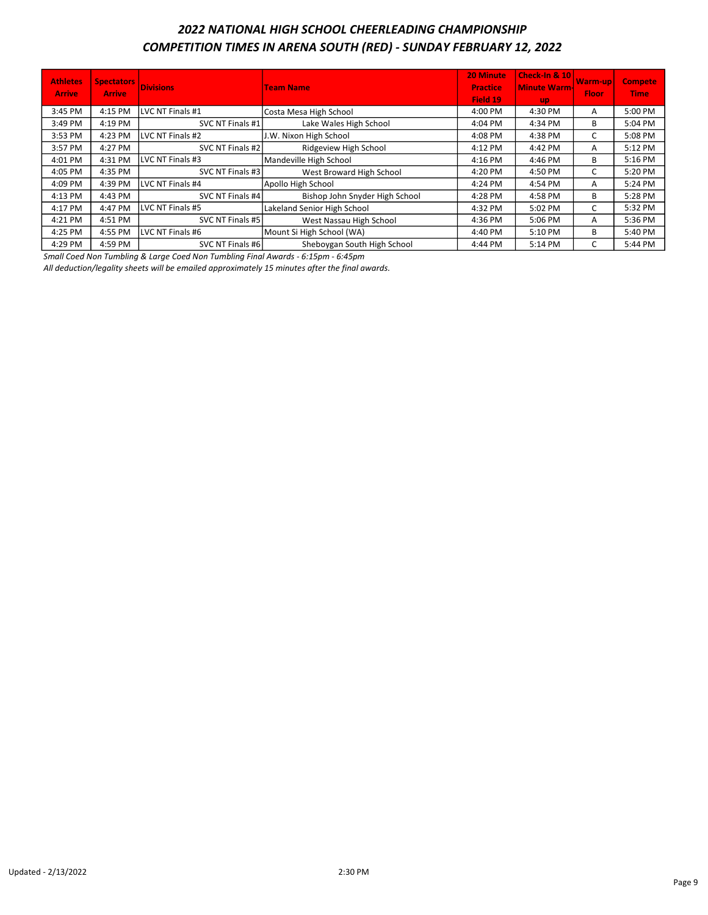# 2022 NATIONAL HIGH SCHOOL CHEERLEADING CHAMPIONSHIP COMPETITION TIMES IN ARENA SOUTH (RED) - SUNDAY FEBRUARY 12, 2022

| <b>Athletes</b><br><b>Arrive</b> | <b>Spectators</b><br><b>Arrive</b> | <b>Divisions</b> | <b>Team Name</b>               | 20 Minute<br><b>Practice</b><br>Field 19 | <b>Check-In &amp; 10</b><br><b>Minute Warm-</b><br><b>up</b> | <b>Warm-up</b><br><b>Floor</b> | <b>Compete</b><br><b>Time</b> |
|----------------------------------|------------------------------------|------------------|--------------------------------|------------------------------------------|--------------------------------------------------------------|--------------------------------|-------------------------------|
| 3:45 PM                          | 4:15 PM                            | LVC NT Finals #1 | Costa Mesa High School         | 4:00 PM                                  | 4:30 PM                                                      | A                              | 5:00 PM                       |
| 3:49 PM                          | 4:19 PM                            | SVC NT Finals #1 | Lake Wales High School         | 4:04 PM                                  | 4:34 PM                                                      | B                              | 5:04 PM                       |
| 3:53 PM                          | 4:23 PM                            | LVC NT Finals #2 | J.W. Nixon High School         | 4:08 PM                                  | 4:38 PM                                                      | C                              | 5:08 PM                       |
| 3:57 PM                          | 4:27 PM                            | SVC NT Finals #2 | Ridgeview High School          | 4:12 PM                                  | 4:42 PM                                                      | А                              | 5:12 PM                       |
| 4:01 PM                          | 4:31 PM                            | LVC NT Finals #3 | Mandeville High School         | 4:16 PM                                  | 4:46 PM                                                      | B                              | 5:16 PM                       |
| 4:05 PM                          | 4:35 PM                            | SVC NT Finals #3 | West Broward High School       | 4:20 PM                                  | 4:50 PM                                                      | C                              | 5:20 PM                       |
| 4:09 PM                          | 4:39 PM                            | LVC NT Finals #4 | Apollo High School             | 4:24 PM                                  | 4:54 PM                                                      | А                              | 5:24 PM                       |
| 4:13 PM                          | 4:43 PM                            | SVC NT Finals #4 | Bishop John Snyder High School | 4:28 PM                                  | 4:58 PM                                                      | B                              | 5:28 PM                       |
| 4:17 PM                          | 4:47 PM                            | LVC NT Finals #5 | Lakeland Senior High School    | 4:32 PM                                  | 5:02 PM                                                      | C                              | 5:32 PM                       |
| 4:21 PM                          | 4:51 PM                            | SVC NT Finals #5 | West Nassau High School        | 4:36 PM                                  | 5:06 PM                                                      | A                              | 5:36 PM                       |
| 4:25 PM                          | 4:55 PM                            | LVC NT Finals #6 | Mount Si High School (WA)      | 4:40 PM                                  | 5:10 PM                                                      | B                              | 5:40 PM                       |
| 4:29 PM                          | 4:59 PM                            | SVC NT Finals #6 | Sheboygan South High School    | 4:44 PM                                  | 5:14 PM                                                      | C                              | 5:44 PM                       |

Small Coed Non Tumbling & Large Coed Non Tumbling Final Awards - 6:15pm - 6:45pm

All deduction/legality sheets will be emailed approximately 15 minutes after the final awards.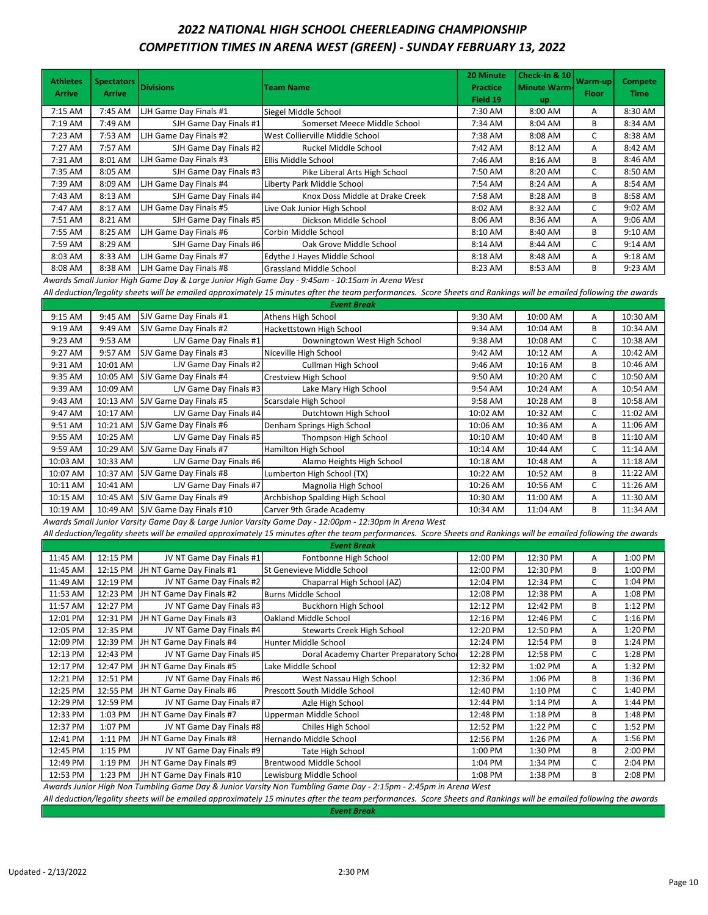### 2022 NATIONAL HIGH SCHOOL CHEERLEADING CHAMPIONSHIP COMPETITION TIMES IN ARENA WEST (GREEN) - SUNDAY FEBRUARY 13, 2022

| <b>Athletes</b><br><b>Arrive</b> | <b>Spectators</b><br><b>Arrive</b> | <b>Divisions</b>       | <b>Team Name</b>                | 20 Minute<br><b>Practice</b><br>Field 19 | <b>Check-In &amp; 10</b><br><b>Minute Warm-</b><br>up | Warm-up<br><b>Floor</b> | <b>Compete</b><br><b>Time</b> |
|----------------------------------|------------------------------------|------------------------|---------------------------------|------------------------------------------|-------------------------------------------------------|-------------------------|-------------------------------|
| 7:15 AM                          | 7:45 AM                            | LJH Game Day Finals #1 | Siegel Middle School            | 7:30 AM                                  | 8:00 AM                                               | A                       | 8:30 AM                       |
| 7:19 AM                          | 7:49 AM                            | SJH Game Day Finals #1 | Somerset Meece Middle School    | 7:34 AM                                  | 8:04 AM                                               | B                       | 8:34 AM                       |
| 7:23 AM                          | 7:53 AM                            | LJH Game Day Finals #2 | West Collierville Middle School | 7:38 AM                                  | 8:08 AM                                               | C                       | 8:38 AM                       |
| 7:27 AM                          | 7:57 AM                            | SJH Game Day Finals #2 | Ruckel Middle School            | 7:42 AM                                  | 8:12 AM                                               | A                       | 8:42 AM                       |
| 7:31 AM                          | 8:01 AM                            | LJH Game Day Finals #3 | Ellis Middle School             | 7:46 AM                                  | 8:16 AM                                               | В                       | 8:46 AM                       |
| 7:35 AM                          | 8:05 AM                            | SJH Game Day Finals #3 | Pike Liberal Arts High School   | 7:50 AM                                  | 8:20 AM                                               | C                       | 8:50 AM                       |
| 7:39 AM                          | 8:09 AM                            | LJH Game Day Finals #4 | Liberty Park Middle School      | 7:54 AM                                  | 8:24 AM                                               | A                       | 8:54 AM                       |
| 7:43 AM                          | 8:13 AM                            | SJH Game Day Finals #4 | Knox Doss Middle at Drake Creek | 7:58 AM                                  | 8:28 AM                                               | B                       | 8:58 AM                       |
| 7:47 AM                          | 8:17 AM                            | LJH Game Day Finals #5 | Live Oak Junior High School     | 8:02 AM                                  | 8:32 AM                                               | C                       | 9:02 AM                       |
| 7:51 AM                          | 8:21 AM                            | SJH Game Day Finals #5 | Dickson Middle School           | 8:06 AM                                  | 8:36 AM                                               | A                       | $9:06$ AM                     |
| 7:55 AM                          | 8:25 AM                            | LJH Game Day Finals #6 | lCorbin Middle School           | 8:10 AM                                  | 8:40 AM                                               | B                       | 9:10 AM                       |
| 7:59 AM                          | 8:29 AM                            | SJH Game Day Finals #6 | Oak Grove Middle School         | 8:14 AM                                  | 8:44 AM                                               | C                       | $9:14$ AM                     |
| 8:03 AM                          | 8:33 AM                            | LJH Game Day Finals #7 | Edythe J Hayes Middle School    | 8:18 AM                                  | 8:48 AM                                               | A                       | 9:18 AM                       |
| 8:08 AM                          | 8:38 AM                            | LJH Game Day Finals #8 | Grassland Middle School         | 8:23 AM                                  | 8:53 AM                                               | B                       | 9:23 AM                       |

Awards Small Junior High Game Day & Large Junior High Game Day - 9:45am - 10:15am in Arena West

All deduction/legality sheets will be emailed approximately 15 minutes after the team performances. Score Sheets and Rankings will be emailed following the awards

| <b>Event Break</b> |          |                         |                                 |          |          |   |          |  |
|--------------------|----------|-------------------------|---------------------------------|----------|----------|---|----------|--|
| 9:15 AM            | 9:45 AM  | SJV Game Day Finals #1  | Athens High School              | 9:30 AM  | 10:00 AM | A | 10:30 AM |  |
| 9:19 AM            | 9:49 AM  | SJV Game Day Finals #2  | Hackettstown High School        | 9:34 AM  | 10:04 AM | В | 10:34 AM |  |
| 9:23 AM            | 9:53 AM  | LJV Game Day Finals #1  | Downingtown West High School    | 9:38 AM  | 10:08 AM | C | 10:38 AM |  |
| 9:27 AM            | 9:57 AM  | SJV Game Day Finals #3  | Niceville High School           | 9:42 AM  | 10:12 AM | A | 10:42 AM |  |
| 9:31 AM            | 10:01 AM | LJV Game Day Finals #2  | Cullman High School             | 9:46 AM  | 10:16 AM | В | 10:46 AM |  |
| 9:35 AM            | 10:05 AM | SJV Game Day Finals #4  | <b>Crestview High School</b>    | 9:50 AM  | 10:20 AM | C | 10:50 AM |  |
| 9:39 AM            | 10:09 AM | LJV Game Day Finals #3  | Lake Mary High School           | 9:54 AM  | 10:24 AM | A | 10:54 AM |  |
| 9:43 AM            | 10:13 AM | SJV Game Day Finals #5  | Scarsdale High School           | 9:58 AM  | 10:28 AM | В | 10:58 AM |  |
| 9:47 AM            | 10:17 AM | LJV Game Day Finals #4  | Dutchtown High School           | 10:02 AM | 10:32 AM | C | 11:02 AM |  |
| 9:51 AM            | 10:21 AM | SJV Game Day Finals #6  | Denham Springs High School      | 10:06 AM | 10:36 AM | A | 11:06 AM |  |
| 9:55 AM            | 10:25 AM | LJV Game Day Finals #5  | Thompson High School            | 10:10 AM | 10:40 AM | B | 11:10 AM |  |
| 9:59 AM            | 10:29 AM | SJV Game Day Finals #7  | Hamilton High School            | 10:14 AM | 10:44 AM | C | 11:14 AM |  |
| 10:03 AM           | 10:33 AM | LJV Game Day Finals #6  | Alamo Heights High School       | 10:18 AM | 10:48 AM | A | 11:18 AM |  |
| 10:07 AM           | 10:37 AM | SJV Game Day Finals #8  | Lumberton High School (TX)      | 10:22 AM | 10:52 AM | В | 11:22 AM |  |
| 10:11 AM           | 10:41 AM | LJV Game Day Finals #7  | Magnolia High School            | 10:26 AM | 10:56 AM | C | 11:26 AM |  |
| 10:15 AM           | 10:45 AM | SJV Game Day Finals #9  | Archbishop Spalding High School | 10:30 AM | 11:00 AM | A | 11:30 AM |  |
| 10:19 AM           | 10:49 AM | SJV Game Day Finals #10 | Carver 9th Grade Academy        | 10:34 AM | 11:04 AM | B | 11:34 AM |  |

Awards Small Junior Varsity Game Day & Large Junior Varsity Game Day - 12:00pm - 12:30pm in Arena West

All deduction/legality sheets will be emailed approximately 15 minutes after the team performances. Score Sheets and Rankings will be emailed following the awards

| <b>Event Break</b> |          |                           |                                         |          |          |   |         |  |  |
|--------------------|----------|---------------------------|-----------------------------------------|----------|----------|---|---------|--|--|
| 11:45 AM           | 12:15 PM | JV NT Game Day Finals #1  | Fontbonne High School                   | 12:00 PM | 12:30 PM | А | 1:00 PM |  |  |
| 11:45 AM           | 12:15 PM | JH NT Game Day Finals #1  | St Genevieve Middle School              | 12:00 PM | 12:30 PM | В | 1:00 PM |  |  |
| 11:49 AM           | 12:19 PM | JV NT Game Day Finals #2  | Chaparral High School (AZ)              | 12:04 PM | 12:34 PM | C | 1:04 PM |  |  |
| 11:53 AM           | 12:23 PM | JH NT Game Day Finals #2  | Burns Middle School                     | 12:08 PM | 12:38 PM | A | 1:08 PM |  |  |
| 11:57 AM           | 12:27 PM | JV NT Game Day Finals #3  | Buckhorn High School                    | 12:12 PM | 12:42 PM | B | 1:12 PM |  |  |
| 12:01 PM           | 12:31 PM | JH NT Game Day Finals #3  | Oakland Middle School                   | 12:16 PM | 12:46 PM | C | 1:16 PM |  |  |
| 12:05 PM           | 12:35 PM | JV NT Game Day Finals #4  | Stewarts Creek High School              | 12:20 PM | 12:50 PM | А | 1:20 PM |  |  |
| 12:09 PM           | 12:39 PM | JH NT Game Day Finals #4  | Hunter Middle School                    | 12:24 PM | 12:54 PM | B | 1:24 PM |  |  |
| 12:13 PM           | 12:43 PM | JV NT Game Day Finals #5  | Doral Academy Charter Preparatory Schoo | 12:28 PM | 12:58 PM | C | 1:28 PM |  |  |
| 12:17 PM           | 12:47 PM | JH NT Game Day Finals #5  | Lake Middle School                      | 12:32 PM | 1:02 PM  | А | 1:32 PM |  |  |
| 12:21 PM           | 12:51 PM | JV NT Game Day Finals #6  | West Nassau High School                 | 12:36 PM | 1:06 PM  | B | 1:36 PM |  |  |
| 12:25 PM           | 12:55 PM | JH NT Game Day Finals #6  | Prescott South Middle School            | 12:40 PM | 1:10 PM  | C | 1:40 PM |  |  |
| 12:29 PM           | 12:59 PM | JV NT Game Day Finals #7  | Azle High School                        | 12:44 PM | 1:14 PM  | A | 1:44 PM |  |  |
| 12:33 PM           | 1:03 PM  | JH NT Game Day Finals #7  | Upperman Middle School                  | 12:48 PM | 1:18 PM  | B | 1:48 PM |  |  |
| 12:37 PM           | 1:07 PM  | JV NT Game Day Finals #8  | Chiles High School                      | 12:52 PM | 1:22 PM  | C | 1:52 PM |  |  |
| 12:41 PM           | 1:11 PM  | JH NT Game Day Finals #8  | Hernando Middle School                  | 12:56 PM | 1:26 PM  | A | 1:56 PM |  |  |
| 12:45 PM           | 1:15 PM  | JV NT Game Day Finals #9  | Tate High School                        | 1:00 PM  | 1:30 PM  | B | 2:00 PM |  |  |
| 12:49 PM           | 1:19 PM  | JH NT Game Day Finals #9  | Brentwood Middle School                 | 1:04 PM  | 1:34 PM  | C | 2:04 PM |  |  |
| 12:53 PM           | 1:23 PM  | JH NT Game Day Finals #10 | Lewisburg Middle School                 | 1:08 PM  | 1:38 PM  | В | 2:08 PM |  |  |

Awards Junior High Non Tumbling Game Day & Junior Varsity Non Tumbling Game Day - 2:15pm - 2:45pm in Arena West